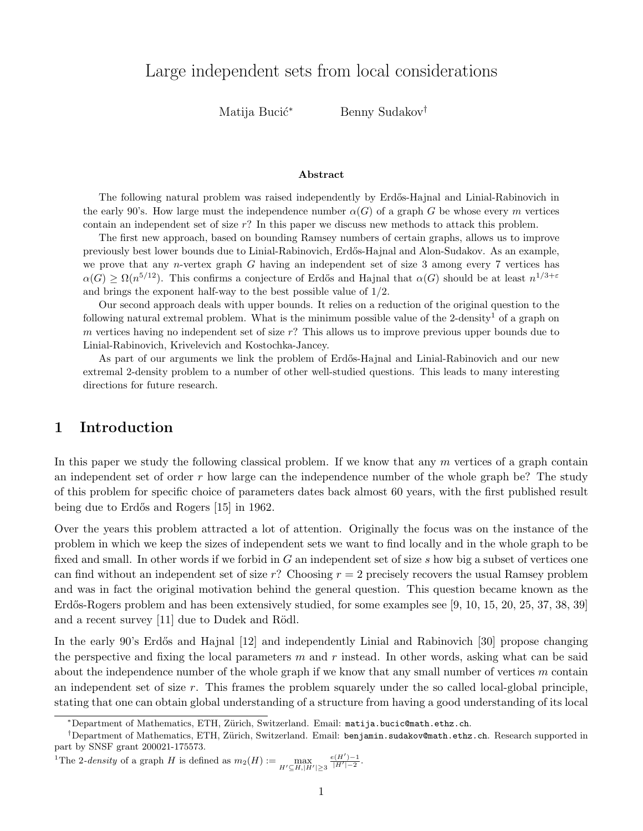Matija Bucić<sup>∗</sup> Benny Sudakov<sup>†</sup>

#### Abstract

<span id="page-0-0"></span>The following natural problem was raised independently by Erdős-Hajnal and Linial-Rabinovich in the early 90's. How large must the independence number  $\alpha(G)$  of a graph G be whose every m vertices contain an independent set of size r? In this paper we discuss new methods to attack this problem.

The first new approach, based on bounding Ramsey numbers of certain graphs, allows us to improve previously best lower bounds due to Linial-Rabinovich, Erd˝os-Hajnal and Alon-Sudakov. As an example, we prove that any n-vertex graph G having an independent set of size 3 among every 7 vertices has  $\alpha(G) \geq \Omega(n^{5/12})$ . This confirms a conjecture of Erdős and Hajnal that  $\alpha(G)$  should be at least  $n^{1/3+\varepsilon}$ and brings the exponent half-way to the best possible value of 1/2.

Our second approach deals with upper bounds. It relies on a reduction of the original question to the following natural extremal problem. What is the minimum possible value of the 2-density<sup>1</sup> of a graph on m vertices having no independent set of size  $r$ ? This allows us to improve previous upper bounds due to Linial-Rabinovich, Krivelevich and Kostochka-Jancey.

As part of our arguments we link the problem of Erdős-Hajnal and Linial-Rabinovich and our new extremal 2-density problem to a number of other well-studied questions. This leads to many interesting directions for future research.

# 1 Introduction

In this paper we study the following classical problem. If we know that any  $m$  vertices of a graph contain an independent set of order  $r$  how large can the independence number of the whole graph be? The study of this problem for specific choice of parameters dates back almost 60 years, with the first published result being due to Erdős and Rogers [\[15\]](#page-25-0) in 1962.

Over the years this problem attracted a lot of attention. Originally the focus was on the instance of the problem in which we keep the sizes of independent sets we want to find locally and in the whole graph to be fixed and small. In other words if we forbid in G an independent set of size s how big a subset of vertices one can find without an independent set of size r? Choosing  $r = 2$  precisely recovers the usual Ramsey problem and was in fact the original motivation behind the general question. This question became known as the Erdős-Rogers problem and has been extensively studied, for some examples see [\[9,](#page-24-0) [10,](#page-24-1) [15,](#page-25-0) [20,](#page-25-1) [25,](#page-25-2) [37,](#page-25-3) [38,](#page-25-4) [39\]](#page-25-5) and a recent survey  $[11]$  due to Dudek and Rödl.

In the early 90's Erdős and Hajnal [\[12\]](#page-24-3) and independently Linial and Rabinovich [\[30\]](#page-25-6) propose changing the perspective and fixing the local parameters  $m$  and  $r$  instead. In other words, asking what can be said about the independence number of the whole graph if we know that any small number of vertices m contain an independent set of size  $r$ . This frames the problem squarely under the so called local-global principle, stating that one can obtain global understanding of a structure from having a good understanding of its local

<sup>1</sup>The 2-density of a graph H is defined as  $m_2(H) := \max_{H' \subseteq H, |H'| \ge 3}$  $\frac{e(H')-1}{|H'|-2}$ .

<sup>∗</sup>Department of Mathematics, ETH, Z¨urich, Switzerland. Email: [matija.bucic@math.ethz.ch](mailto:matija.bucic@math.ethz.ch).

<sup>†</sup>Department of Mathematics, ETH, Z¨urich, Switzerland. Email: [benjamin.sudakov@math.ethz.ch](mailto:benjamin.sudakov@math.ethz.ch). Research supported in part by SNSF grant 200021-175573.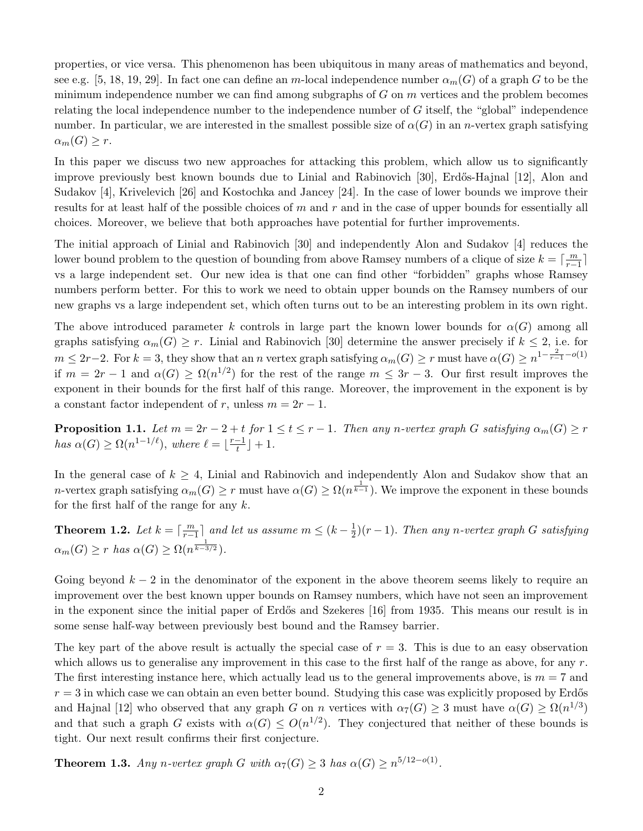properties, or vice versa. This phenomenon has been ubiquitous in many areas of mathematics and beyond, see e.g. [\[5,](#page-24-4) [18,](#page-25-7) [19,](#page-25-8) [29\]](#page-25-9). In fact one can define an m-local independence number  $\alpha_m(G)$  of a graph G to be the minimum independence number we can find among subgraphs of  $G$  on  $m$  vertices and the problem becomes relating the local independence number to the independence number of G itself, the "global" independence number. In particular, we are interested in the smallest possible size of  $\alpha(G)$  in an *n*-vertex graph satisfying  $\alpha_m(G) \geq r$ .

In this paper we discuss two new approaches for attacking this problem, which allow us to significantly improve previously best known bounds due to Linial and Rabinovich [\[30\]](#page-25-6), Erdős-Hajnal [\[12\]](#page-24-3), Alon and Sudakov [\[4\]](#page-24-5), Krivelevich [\[26\]](#page-25-10) and Kostochka and Jancey [\[24\]](#page-25-11). In the case of lower bounds we improve their results for at least half of the possible choices of  $m$  and  $r$  and in the case of upper bounds for essentially all choices. Moreover, we believe that both approaches have potential for further improvements.

The initial approach of Linial and Rabinovich [\[30\]](#page-25-6) and independently Alon and Sudakov [\[4\]](#page-24-5) reduces the lower bound problem to the question of bounding from above Ramsey numbers of a clique of size  $k = \lceil \frac{m}{r-1} \rceil$ vs a large independent set. Our new idea is that one can find other "forbidden" graphs whose Ramsey numbers perform better. For this to work we need to obtain upper bounds on the Ramsey numbers of our new graphs vs a large independent set, which often turns out to be an interesting problem in its own right.

The above introduced parameter k controls in large part the known lower bounds for  $\alpha(G)$  among all graphs satisfying  $\alpha_m(G) \geq r$ . Linial and Rabinovich [\[30\]](#page-25-6) determine the answer precisely if  $k \leq 2$ , i.e. for  $m \leq 2r-2$ . For  $k = 3$ , they show that an n vertex graph satisfying  $\alpha_m(G) \geq r$  must have  $\alpha(G) \geq n^{1-\frac{2}{r-1}-o(1)}$ if  $m = 2r - 1$  and  $\alpha(G) \geq \Omega(n^{1/2})$  for the rest of the range  $m \leq 3r - 3$ . Our first result improves the exponent in their bounds for the first half of this range. Moreover, the improvement in the exponent is by a constant factor independent of r, unless  $m = 2r - 1$ .

<span id="page-1-0"></span>**Proposition 1.1.** Let  $m = 2r - 2 + t$  for  $1 \le t \le r - 1$ . Then any n-vertex graph G satisfying  $\alpha_m(G) \ge r$ has  $\alpha(G) \geq \Omega(n^{1-1/\ell})$ , where  $\ell = \lceil \frac{r-1}{t} \rceil$  $\frac{-1}{t}$  | + 1.

In the general case of  $k \geq 4$ , Linial and Rabinovich and independently Alon and Sudakov show that an *n*-vertex graph satisfying  $\alpha_m(G) \geq r$  must have  $\alpha(G) \geq \Omega(n^{\frac{1}{k-1}})$ . We improve the exponent in these bounds for the first half of the range for any  $k$ .

<span id="page-1-1"></span>**Theorem 1.2.** Let  $k = \lceil \frac{m}{r-1} \rceil$  and let us assume  $m \leq (k - \frac{1}{2})$  $\frac{1}{2}$  $\left( r-1\right)$ . Then any n-vertex graph G satisfying  $\alpha_m(G) \geq r$  has  $\alpha(G) \geq \Omega(n^{\frac{1}{k-3/2}})$ .

Going beyond  $k - 2$  in the denominator of the exponent in the above theorem seems likely to require an improvement over the best known upper bounds on Ramsey numbers, which have not seen an improvement in the exponent since the initial paper of Erdős and Szekeres [\[16\]](#page-25-12) from 1935. This means our result is in some sense half-way between previously best bound and the Ramsey barrier.

The key part of the above result is actually the special case of  $r = 3$ . This is due to an easy observation which allows us to generalise any improvement in this case to the first half of the range as above, for any  $r$ . The first interesting instance here, which actually lead us to the general improvements above, is  $m = 7$  and  $r = 3$  in which case we can obtain an even better bound. Studying this case was explicitly proposed by Erdős and Hajnal [\[12\]](#page-24-3) who observed that any graph G on n vertices with  $\alpha_7(G) \geq 3$  must have  $\alpha(G) \geq \Omega(n^{1/3})$ and that such a graph G exists with  $\alpha(G) \leq O(n^{1/2})$ . They conjectured that neither of these bounds is tight. Our next result confirms their first conjecture.

<span id="page-1-2"></span>**Theorem 1.3.** Any n-vertex graph G with  $\alpha_7(G) \geq 3$  has  $\alpha(G) \geq n^{5/12 - o(1)}$ .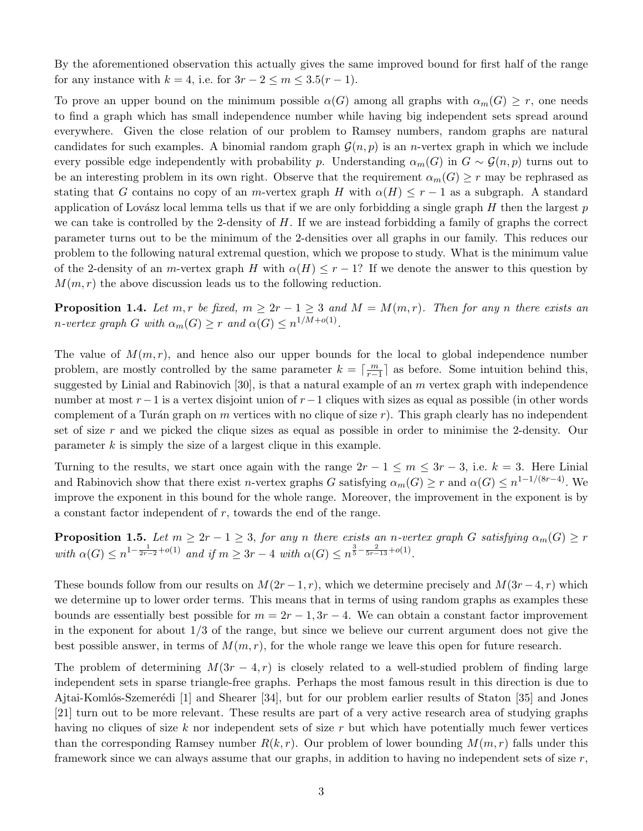By the aforementioned observation this actually gives the same improved bound for first half of the range for any instance with  $k = 4$ , i.e. for  $3r - 2 \le m \le 3.5(r - 1)$ .

To prove an upper bound on the minimum possible  $\alpha(G)$  among all graphs with  $\alpha_m(G) \geq r$ , one needs to find a graph which has small independence number while having big independent sets spread around everywhere. Given the close relation of our problem to Ramsey numbers, random graphs are natural candidates for such examples. A binomial random graph  $\mathcal{G}(n, p)$  is an *n*-vertex graph in which we include every possible edge independently with probability p. Understanding  $\alpha_m(G)$  in  $G \sim \mathcal{G}(n, p)$  turns out to be an interesting problem in its own right. Observe that the requirement  $\alpha_m(G) \geq r$  may be rephrased as stating that G contains no copy of an m-vertex graph H with  $\alpha(H) \leq r-1$  as a subgraph. A standard application of Lovász local lemma tells us that if we are only forbidding a single graph  $H$  then the largest  $p$ we can take is controlled by the 2-density of  $H$ . If we are instead forbidding a family of graphs the correct parameter turns out to be the minimum of the 2-densities over all graphs in our family. This reduces our problem to the following natural extremal question, which we propose to study. What is the minimum value of the 2-density of an m-vertex graph H with  $\alpha(H) \leq r - 1$ ? If we denote the answer to this question by  $M(m, r)$  the above discussion leads us to the following reduction.

<span id="page-2-0"></span>**Proposition 1.4.** Let m, r be fixed,  $m \geq 2r - 1 \geq 3$  and  $M = M(m, r)$ . Then for any n there exists an *n*-vertex graph G with  $\alpha_m(G) \geq r$  and  $\alpha(G) \leq n^{1/M + o(1)}$ .

The value of  $M(m, r)$ , and hence also our upper bounds for the local to global independence number problem, are mostly controlled by the same parameter  $k = \lceil \frac{m}{r-1} \rceil$  as before. Some intuition behind this, suggested by Linial and Rabinovich  $[30]$ , is that a natural example of an m vertex graph with independence number at most r−1 is a vertex disjoint union of r−1 cliques with sizes as equal as possible (in other words complement of a Turán graph on m vertices with no clique of size r). This graph clearly has no independent set of size r and we picked the clique sizes as equal as possible in order to minimise the 2-density. Our parameter  $k$  is simply the size of a largest clique in this example.

Turning to the results, we start once again with the range  $2r - 1 \le m \le 3r - 3$ , i.e.  $k = 3$ . Here Linial and Rabinovich show that there exist *n*-vertex graphs G satisfying  $\alpha_m(G) \geq r$  and  $\alpha(G) \leq n^{1-1/(8r-4)}$ . We improve the exponent in this bound for the whole range. Moreover, the improvement in the exponent is by a constant factor independent of r, towards the end of the range.

**Proposition 1.5.** Let  $m \geq 2r - 1 \geq 3$ , for any n there exists an n-vertex graph G satisfying  $\alpha_m(G) \geq r$ with  $\alpha(G) \leq n^{1-\frac{1}{2r-2}+o(1)}$  and if  $m \geq 3r-4$  with  $\alpha(G) \leq n^{\frac{3}{5}-\frac{2}{5r-13}+o(1)}$ .

These bounds follow from our results on  $M(2r-1, r)$ , which we determine precisely and  $M(3r-4, r)$  which we determine up to lower order terms. This means that in terms of using random graphs as examples these bounds are essentially best possible for  $m = 2r - 1$ ,  $3r - 4$ . We can obtain a constant factor improvement in the exponent for about 1/3 of the range, but since we believe our current argument does not give the best possible answer, in terms of  $M(m, r)$ , for the whole range we leave this open for future research.

The problem of determining  $M(3r-4, r)$  is closely related to a well-studied problem of finding large independent sets in sparse triangle-free graphs. Perhaps the most famous result in this direction is due to Ajtai-Komlós-Szemerédi [\[1\]](#page-24-6) and Shearer [\[34\]](#page-25-13), but for our problem earlier results of Staton [\[35\]](#page-25-14) and Jones [\[21\]](#page-25-15) turn out to be more relevant. These results are part of a very active research area of studying graphs having no cliques of size k nor independent sets of size r but which have potentially much fewer vertices than the corresponding Ramsey number  $R(k, r)$ . Our problem of lower bounding  $M(m, r)$  falls under this framework since we can always assume that our graphs, in addition to having no independent sets of size  $r$ ,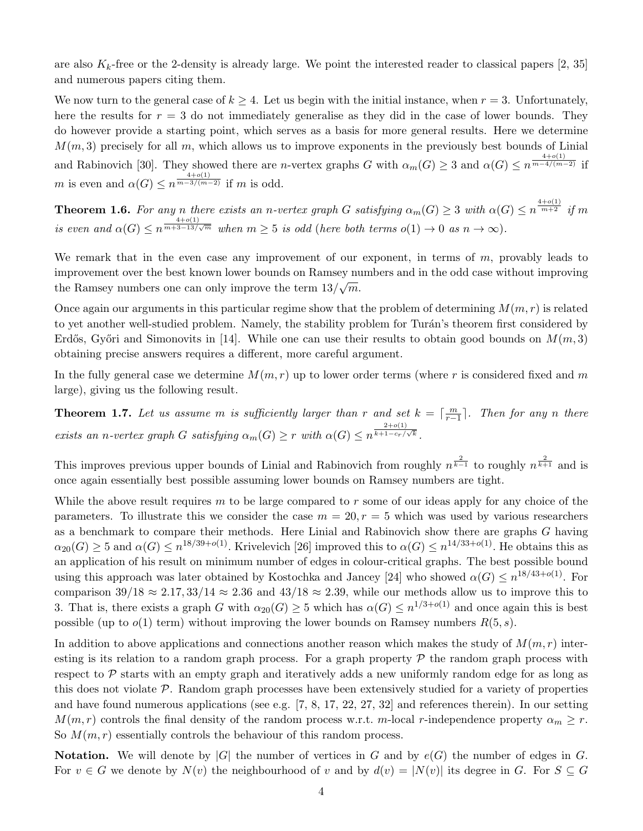are also  $K_k$ -free or the 2-density is already large. We point the interested reader to classical papers [\[2,](#page-24-7) [35\]](#page-25-14) and numerous papers citing them.

We now turn to the general case of  $k \geq 4$ . Let us begin with the initial instance, when  $r = 3$ . Unfortunately, here the results for  $r = 3$  do not immediately generalise as they did in the case of lower bounds. They do however provide a starting point, which serves as a basis for more general results. Here we determine  $M(m, 3)$  precisely for all m, which allows us to improve exponents in the previously best bounds of Linial and Rabinovich [\[30\]](#page-25-6). They showed there are *n*-vertex graphs G with  $\alpha_m(G) \geq 3$  and  $\alpha(G) \leq n^{\frac{4+o(1)}{m-4/(m-2)}}$  if m is even and  $\alpha(G) \leq n^{\frac{4+o(1)}{m-3/(m-2)}}$  if m is odd.

<span id="page-3-0"></span>**Theorem 1.6.** For any n there exists an n-vertex graph G satisfying  $\alpha_m(G) \geq 3$  with  $\alpha(G) \leq n^{\frac{4+o(1)}{m+2}}$  if m is even and  $\alpha(G) \leq n^{\frac{4+o(1)}{m+3-13/\sqrt{m}}}$  when  $m \geq 5$  is odd (here both terms  $o(1) \to 0$  as  $n \to \infty$ ).

We remark that in the even case any improvement of our exponent, in terms of  $m$ , provably leads to improvement over the best known lower bounds on Ramsey numbers and in the odd case without improving the Ramsey numbers one can only improve the term  $13/\sqrt{m}$ .

Once again our arguments in this particular regime show that the problem of determining  $M(m, r)$  is related to yet another well-studied problem. Namely, the stability problem for Turán's theorem first considered by Erdős, Győri and Simonovits in [\[14\]](#page-25-16). While one can use their results to obtain good bounds on  $M(m, 3)$ obtaining precise answers requires a different, more careful argument.

In the fully general case we determine  $M(m, r)$  up to lower order terms (where r is considered fixed and m large), giving us the following result.

<span id="page-3-1"></span>**Theorem 1.7.** Let us assume m is sufficiently larger than r and set  $k = \lceil \frac{m}{r-1} \rceil$ . Then for any n there exists an n-vertex graph G satisfying  $\alpha_m(G) \geq r$  with  $\alpha(G) \leq n^{\frac{2+o(1)}{k+1-c_r}}$  $rac{z+o(1)}{k+1-c_r/\sqrt{k}}$ .

This improves previous upper bounds of Linial and Rabinovich from roughly  $n^{\frac{2}{k-1}}$  to roughly  $n^{\frac{2}{k+1}}$  and is once again essentially best possible assuming lower bounds on Ramsey numbers are tight.

While the above result requires m to be large compared to r some of our ideas apply for any choice of the parameters. To illustrate this we consider the case  $m = 20, r = 5$  which was used by various researchers as a benchmark to compare their methods. Here Linial and Rabinovich show there are graphs G having  $\alpha_{20}(G) \geq 5$  and  $\alpha(G) \leq n^{18/39+o(1)}$ . Krivelevich [\[26\]](#page-25-10) improved this to  $\alpha(G) \leq n^{14/33+o(1)}$ . He obtains this as an application of his result on minimum number of edges in colour-critical graphs. The best possible bound using this approach was later obtained by Kostochka and Jancey [\[24\]](#page-25-11) who showed  $\alpha(G) \leq n^{18/43+o(1)}$ . For comparison  $39/18 \approx 2.17, 33/14 \approx 2.36$  and  $43/18 \approx 2.39$ , while our methods allow us to improve this to 3. That is, there exists a graph G with  $\alpha_{20}(G) \geq 5$  which has  $\alpha(G) \leq n^{1/3+o(1)}$  and once again this is best possible (up to  $o(1)$  term) without improving the lower bounds on Ramsey numbers  $R(5, s)$ .

In addition to above applications and connections another reason which makes the study of  $M(m, r)$  interesting is its relation to a random graph process. For a graph property  $\mathcal P$  the random graph process with respect to  $P$  starts with an empty graph and iteratively adds a new uniformly random edge for as long as this does not violate  $\mathcal{P}$ . Random graph processes have been extensively studied for a variety of properties and have found numerous applications (see e.g. [\[7,](#page-24-8) [8,](#page-24-9) [17,](#page-25-17) [22,](#page-25-18) [27,](#page-25-19) [32\]](#page-25-20) and references therein). In our setting  $M(m, r)$  controls the final density of the random process w.r.t. m-local r-independence property  $\alpha_m \geq r$ . So  $M(m, r)$  essentially controls the behaviour of this random process.

**Notation.** We will denote by |G| the number of vertices in G and by  $e(G)$  the number of edges in G. For  $v \in G$  we denote by  $N(v)$  the neighbourhood of v and by  $d(v) = |N(v)|$  its degree in G. For  $S \subseteq G$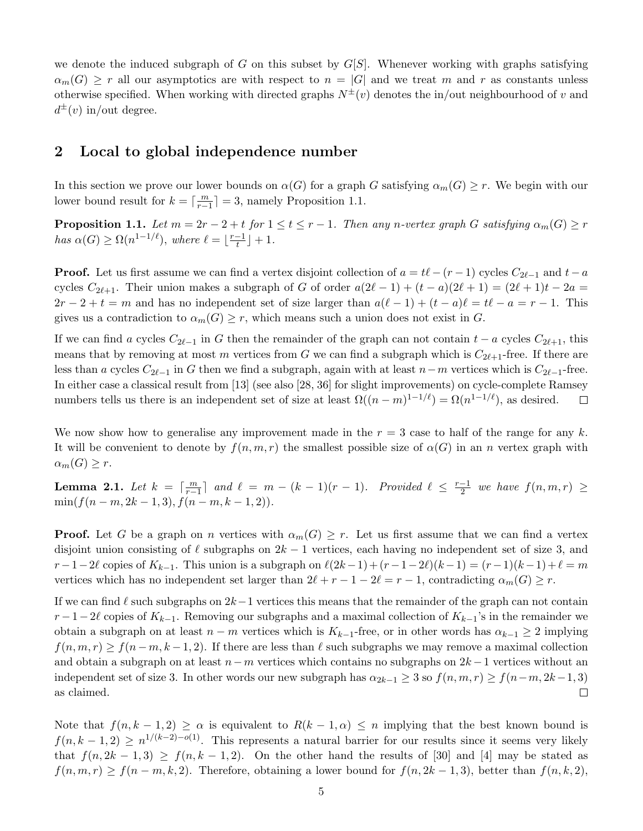we denote the induced subgraph of G on this subset by  $G[S]$ . Whenever working with graphs satisfying  $\alpha_m(G) \geq r$  all our asymptotics are with respect to  $n = |G|$  and we treat m and r as constants unless otherwise specified. When working with directed graphs  $N^{\pm}(v)$  denotes the in/out neighbourhood of v and  $d^{\pm}(v)$  in/out degree.

### <span id="page-4-0"></span>2 Local to global independence number

In this section we prove our lower bounds on  $\alpha(G)$  for a graph G satisfying  $\alpha_m(G) \geq r$ . We begin with our lower bound result for  $k = \lceil \frac{m}{r-1} \rceil = 3$ , namely Proposition [1.1.](#page-1-0)

**Proposition 1.1.** Let  $m = 2r - 2 + t$  for  $1 \le t \le r - 1$ . Then any n-vertex graph G satisfying  $\alpha_m(G) \ge r$ has  $\alpha(G) \geq \Omega(n^{1-1/\ell})$ , where  $\ell = \lceil \frac{r-1}{t} \rceil$  $\frac{-1}{t}$  | + 1.

**Proof.** Let us first assume we can find a vertex disjoint collection of  $a = t\ell - (r - 1)$  cycles  $C_{2\ell-1}$  and  $t - a$ cycles  $C_{2\ell+1}$ . Their union makes a subgraph of G of order  $a(2\ell - 1) + (t - a)(2\ell + 1) = (2\ell + 1)t - 2a$  $2r - 2 + t = m$  and has no independent set of size larger than  $a(\ell - 1) + (t - a)\ell = t\ell - a = r - 1$ . This gives us a contradiction to  $\alpha_m(G) \geq r$ , which means such a union does not exist in G.

If we can find a cycles  $C_{2\ell-1}$  in G then the remainder of the graph can not contain  $t - a$  cycles  $C_{2\ell+1}$ , this means that by removing at most m vertices from G we can find a subgraph which is  $C_{2\ell+1}$ -free. If there are less than a cycles  $C_{2\ell-1}$  in G then we find a subgraph, again with at least  $n-m$  vertices which is  $C_{2\ell-1}$ -free. In either case a classical result from [\[13\]](#page-24-10) (see also [\[28,](#page-25-21) [36\]](#page-25-22) for slight improvements) on cycle-complete Ramsey numbers tells us there is an independent set of size at least  $\Omega((n-m)^{1-1/\ell}) = \Omega(n^{1-1/\ell})$ , as desired.  $\Box$ 

We now show how to generalise any improvement made in the  $r = 3$  case to half of the range for any k. It will be convenient to denote by  $f(n, m, r)$  the smallest possible size of  $\alpha(G)$  in an n vertex graph with  $\alpha_m(G) \geq r$ .

<span id="page-4-1"></span>**Lemma 2.1.** Let  $k = \lceil \frac{m}{r-1} \rceil$  and  $\ell = m - (k-1)(r-1)$ . Provided  $\ell \leq \frac{r-1}{2}$  $\frac{-1}{2}$  we have  $f(n, m, r) \geq$  $\min(f(n-m, 2k-1, 3), f(n-m, k-1, 2)).$ 

**Proof.** Let G be a graph on n vertices with  $\alpha_m(G) \geq r$ . Let us first assume that we can find a vertex disjoint union consisting of  $\ell$  subgraphs on  $2k - 1$  vertices, each having no independent set of size 3, and  $r-1-2\ell$  copies of  $K_{k-1}$ . This union is a subgraph on  $\ell(2k-1) + (r-1-2\ell)(k-1) = (r-1)(k-1)+\ell = m$ vertices which has no independent set larger than  $2\ell + r - 1 - 2\ell = r - 1$ , contradicting  $\alpha_m(G) \geq r$ .

If we can find  $\ell$  such subgraphs on  $2k-1$  vertices this means that the remainder of the graph can not contain  $r-1-2\ell$  copies of  $K_{k-1}$ . Removing our subgraphs and a maximal collection of  $K_{k-1}$ 's in the remainder we obtain a subgraph on at least  $n - m$  vertices which is  $K_{k-1}$ -free, or in other words has  $\alpha_{k-1} \geq 2$  implying  $f(n, m, r) \ge f(n-m, k-1, 2)$ . If there are less than  $\ell$  such subgraphs we may remove a maximal collection and obtain a subgraph on at least  $n-m$  vertices which contains no subgraphs on  $2k-1$  vertices without an independent set of size 3. In other words our new subgraph has  $\alpha_{2k-1} \geq 3$  so  $f(n,m,r) \geq f(n-m, 2k-1, 3)$ as claimed.  $\Box$ 

Note that  $f(n, k - 1, 2) \ge \alpha$  is equivalent to  $R(k - 1, \alpha) \le n$  implying that the best known bound is  $f(n, k-1, 2) \geq n^{1/(k-2)-o(1)}$ . This represents a natural barrier for our results since it seems very likely that  $f(n, 2k-1, 3) \ge f(n, k-1, 2)$ . On the other hand the results of [\[30\]](#page-25-6) and [\[4\]](#page-24-5) may be stated as  $f(n, m, r) \ge f(n-m, k, 2)$ . Therefore, obtaining a lower bound for  $f(n, 2k-1, 3)$ , better than  $f(n, k, 2)$ ,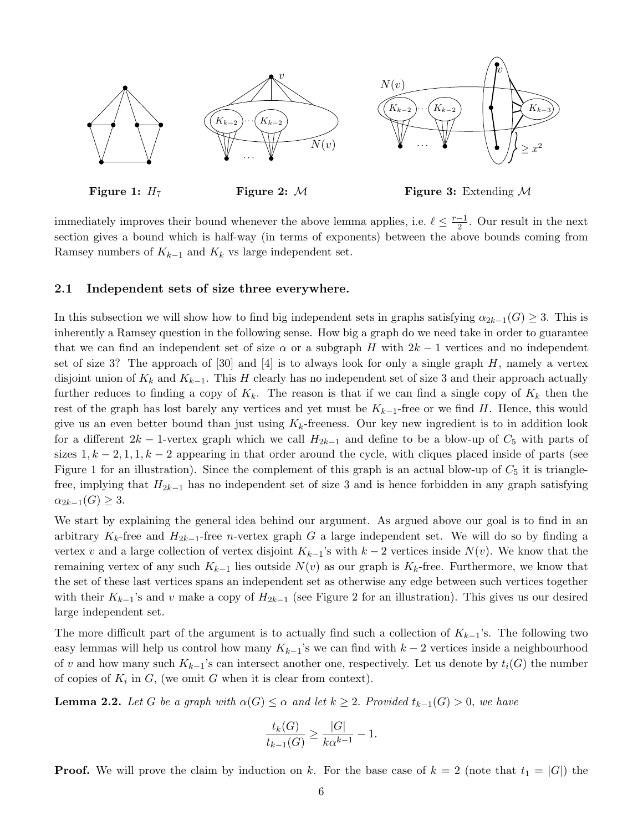

Figure 1:  $H_7$ 

Figure 2: M

Figure 3: Extending M

immediately improves their bound whenever the above lemma applies, i.e.  $\ell \leq \frac{r-1}{2}$  $\frac{-1}{2}$ . Our result in the next section gives a bound which is half-way (in terms of exponents) between the above bounds coming from Ramsey numbers of  $K_{k-1}$  and  $K_k$  vs large independent set.

### 2.1 Independent sets of size three everywhere.

In this subsection we will show how to find big independent sets in graphs satisfying  $\alpha_{2k-1}(G) \geq 3$ . This is inherently a Ramsey question in the following sense. How big a graph do we need take in order to guarantee that we can find an independent set of size  $\alpha$  or a subgraph H with  $2k-1$  vertices and no independent set of size 3? The approach of  $[30]$  and  $[4]$  is to always look for only a single graph H, namely a vertex disjoint union of  $K_k$  and  $K_{k-1}$ . This H clearly has no independent set of size 3 and their approach actually further reduces to finding a copy of  $K_k$ . The reason is that if we can find a single copy of  $K_k$  then the rest of the graph has lost barely any vertices and yet must be  $K_{k-1}$ -free or we find H. Hence, this would give us an even better bound than just using  $K_k$ -freeness. Our key new ingredient is to in addition look for a different  $2k - 1$ -vertex graph which we call  $H_{2k-1}$  and define to be a blow-up of  $C_5$  with parts of sizes  $1, k-2, 1, 1, k-2$  appearing in that order around the cycle, with cliques placed inside of parts (see Figure [1](#page-0-0) for an illustration). Since the complement of this graph is an actual blow-up of  $C_5$  it is trianglefree, implying that  $H_{2k-1}$  has no independent set of size 3 and is hence forbidden in any graph satisfying  $\alpha_{2k-1}(G) \geq 3.$ 

We start by explaining the general idea behind our argument. As argued above our goal is to find in an arbitrary K<sub>k</sub>-free and  $H_{2k-1}$ -free n-vertex graph G a large independent set. We will do so by finding a vertex v and a large collection of vertex disjoint  $K_{k-1}$ 's with  $k-2$  vertices inside  $N(v)$ . We know that the remaining vertex of any such  $K_{k-1}$  lies outside  $N(v)$  as our graph is  $K_k$ -free. Furthermore, we know that the set of these last vertices spans an independent set as otherwise any edge between such vertices together with their  $K_{k-1}$ 's and v make a copy of  $H_{2k-1}$  (see Figure [2](#page-0-0) for an illustration). This gives us our desired large independent set.

The more difficult part of the argument is to actually find such a collection of  $K_{k-1}$ 's. The following two easy lemmas will help us control how many  $K_{k-1}$ 's we can find with  $k-2$  vertices inside a neighbourhood of v and how many such  $K_{k-1}$ 's can intersect another one, respectively. Let us denote by  $t_i(G)$  the number of copies of  $K_i$  in  $G$ , (we omit  $G$  when it is clear from context).

<span id="page-5-0"></span>**Lemma 2.2.** Let G be a graph with  $\alpha(G) \leq \alpha$  and let  $k \geq 2$ . Provided  $t_{k-1}(G) > 0$ , we have

$$
\frac{t_k(G)}{t_{k-1}(G)} \ge \frac{|G|}{k\alpha^{k-1}} - 1.
$$

**Proof.** We will prove the claim by induction on k. For the base case of  $k = 2$  (note that  $t_1 = |G|$ ) the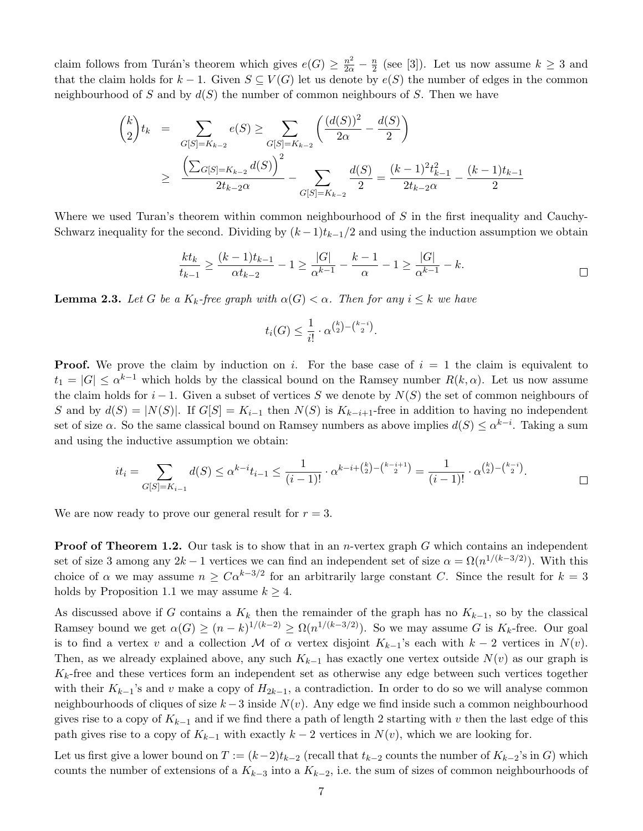claim follows from Turán's theorem which gives  $e(G) \geq \frac{n^2}{2\alpha} - \frac{n}{2}$  $\frac{n}{2}$  (see [\[3\]](#page-24-11)). Let us now assume  $k \geq 3$  and that the claim holds for  $k-1$ . Given  $S \subseteq V(G)$  let us denote by  $e(S)$  the number of edges in the common neighbourhood of S and by  $d(S)$  the number of common neighbours of S. Then we have

$$
\binom{k}{2} t_k = \sum_{G[S] = K_{k-2}} e(S) \ge \sum_{G[S] = K_{k-2}} \left( \frac{(d(S))^2}{2\alpha} - \frac{d(S)}{2} \right)
$$
  
 
$$
\ge \frac{\left( \sum_{G[S] = K_{k-2}} d(S) \right)^2}{2t_{k-2}\alpha} - \sum_{G[S] = K_{k-2}} \frac{d(S)}{2} = \frac{(k-1)^2 t_{k-1}^2}{2t_{k-2}\alpha} - \frac{(k-1)t_{k-1}}{2}
$$

Where we used Turan's theorem within common neighbourhood of  $S$  in the first inequality and Cauchy-Schwarz inequality for the second. Dividing by  $(k-1)t_{k-1}/2$  and using the induction assumption we obtain

$$
\frac{kt_k}{t_{k-1}} \ge \frac{(k-1)t_{k-1}}{\alpha t_{k-2}} - 1 \ge \frac{|G|}{\alpha^{k-1}} - \frac{k-1}{\alpha} - 1 \ge \frac{|G|}{\alpha^{k-1}} - k.
$$

<span id="page-6-0"></span>**Lemma 2.3.** Let G be a  $K_k$ -free graph with  $\alpha(G) < \alpha$ . Then for any  $i \leq k$  we have

$$
t_i(G) \le \frac{1}{i!} \cdot \alpha^{\binom{k}{2} - \binom{k-i}{2}}.
$$

**Proof.** We prove the claim by induction on i. For the base case of  $i = 1$  the claim is equivalent to  $t_1 = |G| \leq \alpha^{k-1}$  which holds by the classical bound on the Ramsey number  $R(k, \alpha)$ . Let us now assume the claim holds for  $i - 1$ . Given a subset of vertices S we denote by  $N(S)$  the set of common neighbours of S and by  $d(S) = |N(S)|$ . If  $G[S] = K_{i-1}$  then  $N(S)$  is  $K_{k-i+1}$ -free in addition to having no independent set of size  $\alpha$ . So the same classical bound on Ramsey numbers as above implies  $d(S) \leq \alpha^{k-i}$ . Taking a sum and using the inductive assumption we obtain:

$$
it_i = \sum_{G[S]=K_{i-1}} d(S) \le \alpha^{k-i} t_{i-1} \le \frac{1}{(i-1)!} \cdot \alpha^{k-i+\binom{k}{2}-\binom{k-i+1}{2}} = \frac{1}{(i-1)!} \cdot \alpha^{\binom{k}{2}-\binom{k-i}{2}}.
$$

We are now ready to prove our general result for  $r = 3$ .

**Proof of Theorem [1.2.](#page-1-1)** Our task is to show that in an *n*-vertex graph  $G$  which contains an independent set of size 3 among any  $2k-1$  vertices we can find an independent set of size  $\alpha = \Omega(n^{1/(k-3/2)})$ . With this choice of  $\alpha$  we may assume  $n \geq C\alpha^{k-3/2}$  for an arbitrarily large constant C. Since the result for  $k=3$ holds by Proposition [1.1](#page-1-0) we may assume  $k \geq 4$ .

As discussed above if G contains a  $K_k$  then the remainder of the graph has no  $K_{k-1}$ , so by the classical Ramsey bound we get  $\alpha(G) \ge (n-k)^{1/(k-2)} \ge \Omega(n^{1/(k-3/2)})$ . So we may assume G is  $K_k$ -free. Our goal is to find a vertex v and a collection M of  $\alpha$  vertex disjoint  $K_{k-1}$ 's each with  $k-2$  vertices in  $N(v)$ . Then, as we already explained above, any such  $K_{k-1}$  has exactly one vertex outside  $N(v)$  as our graph is  $K_k$ -free and these vertices form an independent set as otherwise any edge between such vertices together with their  $K_{k-1}$ 's and v make a copy of  $H_{2k-1}$ , a contradiction. In order to do so we will analyse common neighbourhoods of cliques of size  $k-3$  inside  $N(v)$ . Any edge we find inside such a common neighbourhood gives rise to a copy of  $K_{k-1}$  and if we find there a path of length 2 starting with v then the last edge of this path gives rise to a copy of  $K_{k-1}$  with exactly  $k-2$  vertices in  $N(v)$ , which we are looking for.

Let us first give a lower bound on  $T := (k-2)t_{k-2}$  (recall that  $t_{k-2}$  counts the number of  $K_{k-2}$ 's in G) which counts the number of extensions of a  $K_{k-3}$  into a  $K_{k-2}$ , i.e. the sum of sizes of common neighbourhoods of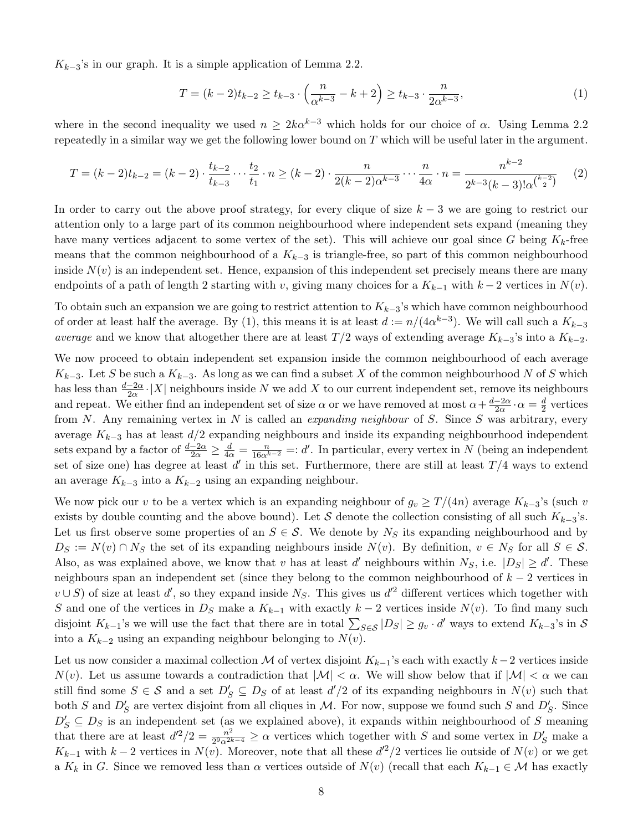$K_{k-3}$ 's in our graph. It is a simple application of Lemma [2.2.](#page-5-0)

<span id="page-7-0"></span>
$$
T = (k-2)t_{k-2} \ge t_{k-3} \cdot \left(\frac{n}{\alpha^{k-3}} - k + 2\right) \ge t_{k-3} \cdot \frac{n}{2\alpha^{k-3}},\tag{1}
$$

where in the second inequality we used  $n \geq 2k\alpha^{k-3}$  which holds for our choice of  $\alpha$ . Using Lemma [2.2](#page-5-0) repeatedly in a similar way we get the following lower bound on  $T$  which will be useful later in the argument.

<span id="page-7-1"></span>
$$
T = (k-2)t_{k-2} = (k-2) \cdot \frac{t_{k-2}}{t_{k-3}} \cdots \frac{t_2}{t_1} \cdot n \ge (k-2) \cdot \frac{n}{2(k-2)\alpha^{k-3}} \cdots \frac{n}{4\alpha} \cdot n = \frac{n^{k-2}}{2^{k-3}(k-3)!\alpha^{\binom{k-2}{2}}} \tag{2}
$$

In order to carry out the above proof strategy, for every clique of size  $k-3$  we are going to restrict our attention only to a large part of its common neighbourhood where independent sets expand (meaning they have many vertices adjacent to some vertex of the set). This will achieve our goal since G being  $K_k$ -free means that the common neighbourhood of a  $K_{k-3}$  is triangle-free, so part of this common neighbourhood inside  $N(v)$  is an independent set. Hence, expansion of this independent set precisely means there are many endpoints of a path of length 2 starting with v, giving many choices for a  $K_{k-1}$  with  $k-2$  vertices in  $N(v)$ .

To obtain such an expansion we are going to restrict attention to  $K_{k-3}$ 's which have common neighbourhood of order at least half the average. By [\(1\)](#page-7-0), this means it is at least  $d := n/(4\alpha^{k-3})$ . We will call such a  $K_{k-3}$ average and we know that altogether there are at least  $T/2$  ways of extending average  $K_{k-3}$ 's into a  $K_{k-2}$ .

We now proceed to obtain independent set expansion inside the common neighbourhood of each average  $K_{k-3}$ . Let S be such a  $K_{k-3}$ . As long as we can find a subset X of the common neighbourhood N of S which has less than  $\frac{d-2\alpha}{2\alpha}$  |X| neighbours inside N we add X to our current independent set, remove its neighbours and repeat. We either find an independent set of size  $\alpha$  or we have removed at most  $\alpha + \frac{d-2\alpha}{2\alpha}$  $\frac{-2\alpha}{2\alpha} \cdot \alpha = \frac{d}{2}$  $\frac{d}{2}$  vertices from N. Any remaining vertex in N is called an *expanding neighbour* of S. Since S was arbitrary, every average  $K_{k-3}$  has at least  $d/2$  expanding neighbours and inside its expanding neighbourhood independent sets expand by a factor of  $\frac{d-2\alpha}{2\alpha} \ge \frac{d}{4\alpha} = \frac{n}{16\alpha^{k-2}} =: d'$ . In particular, every vertex in N (being an independent set of size one) has degree at least  $d'$  in this set. Furthermore, there are still at least  $T/4$  ways to extend an average  $K_{k-3}$  into a  $K_{k-2}$  using an expanding neighbour.

We now pick our v to be a vertex which is an expanding neighbour of  $g_v \geq T/(4n)$  average  $K_{k-3}$ 's (such v exists by double counting and the above bound). Let S denote the collection consisting of all such  $K_{k-3}$ 's. Let us first observe some properties of an  $S \in \mathcal{S}$ . We denote by  $N_S$  its expanding neighbourhood and by  $D_S := N(v) \cap N_S$  the set of its expanding neighbours inside  $N(v)$ . By definition,  $v \in N_S$  for all  $S \in S$ . Also, as was explained above, we know that v has at least d' neighbours within  $N_S$ , i.e.  $|D_S| \ge d'$ . These neighbours span an independent set (since they belong to the common neighbourhood of  $k-2$  vertices in  $v \cup S$ ) of size at least d', so they expand inside N<sub>S</sub>. This gives us d<sup>'2</sup> different vertices which together with S and one of the vertices in  $D<sub>S</sub>$  make a  $K<sub>k-1</sub>$  with exactly  $k-2$  vertices inside  $N(v)$ . To find many such disjoint  $K_{k-1}$ 's we will use the fact that there are in total  $\sum_{S \in \mathcal{S}} |D_S| \ge g_v \cdot d'$  ways to extend  $K_{k-3}$ 's in  $\mathcal{S}$ into a  $K_{k-2}$  using an expanding neighbour belonging to  $N(v)$ .

Let us now consider a maximal collection M of vertex disjoint  $K_{k-1}$ 's each with exactly  $k-2$  vertices inside  $N(v)$ . Let us assume towards a contradiction that  $|\mathcal{M}| < \alpha$ . We will show below that if  $|\mathcal{M}| < \alpha$  we can still find some  $S \in \mathcal{S}$  and a set  $D_S \subseteq D_S$  of at least  $d'/2$  of its expanding neighbours in  $N(v)$  such that both S and  $D'_S$  are vertex disjoint from all cliques in M. For now, suppose we found such S and  $D'_S$ . Since  $D'_S \subseteq D_S$  is an independent set (as we explained above), it expands within neighbourhood of S meaning that there are at least  $d'^2/2 = \frac{n^2}{2^2 n^2}$  $\frac{n^2}{2^9 \alpha^{2k-4}} \ge \alpha$  vertices which together with S and some vertex in  $D'_S$  make a  $K_{k-1}$  with  $k-2$  vertices in  $N(v)$ . Moreover, note that all these  $d'^2/2$  vertices lie outside of  $N(v)$  or we get a  $K_k$  in G. Since we removed less than  $\alpha$  vertices outside of  $N(v)$  (recall that each  $K_{k-1} \in \mathcal{M}$  has exactly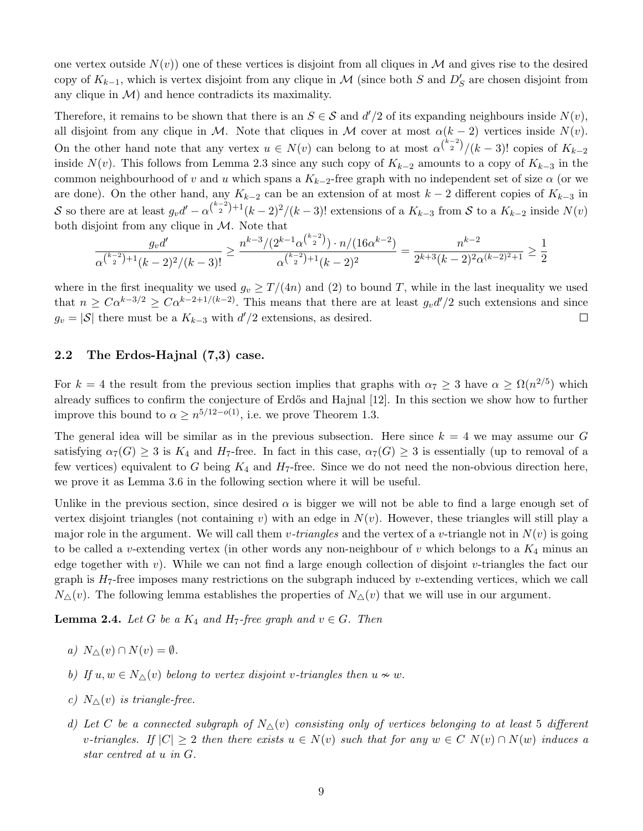one vertex outside  $N(v)$  one of these vertices is disjoint from all cliques in M and gives rise to the desired copy of  $K_{k-1}$ , which is vertex disjoint from any clique in M (since both S and  $D'_{S}$  are chosen disjoint from any clique in  $\mathcal{M}$  and hence contradicts its maximality.

Therefore, it remains to be shown that there is an  $S \in \mathcal{S}$  and  $d'/2$  of its expanding neighbours inside  $N(v)$ , all disjoint from any clique in M. Note that cliques in M cover at most  $\alpha(k-2)$  vertices inside  $N(v)$ . On the other hand note that any vertex  $u \in N(v)$  can belong to at most  $\alpha^{k-2}$ /(k – 3)! copies of  $K_{k-2}$ inside  $N(v)$ . This follows from Lemma [2.3](#page-6-0) since any such copy of  $K_{k-2}$  amounts to a copy of  $K_{k-3}$  in the common neighbourhood of v and u which spans a  $K_{k-2}$ -free graph with no independent set of size  $\alpha$  (or we are done). On the other hand, any  $K_{k-2}$  can be an extension of at most  $k-2$  different copies of  $K_{k-3}$  in S so there are at least  $g_v d' - \alpha^{k-2 \choose 2} + (k-2)^2/(k-3)!$  extensions of a  $K_{k-3}$  from S to a  $K_{k-2}$  inside  $N(v)$ both disjoint from any clique in  $M$ . Note that

$$
\frac{g_v d'}{\alpha^{{k-2 \choose 2}+1}(k-2)^2/(k-3)!} \ge \frac{n^{k-3}/(2^{k-1}\alpha^{{k-2 \choose 2}})\cdot n/(16\alpha^{k-2})}{\alpha^{{k-2 \choose 2}+1}(k-2)^2} = \frac{n^{k-2}}{2^{k+3}(k-2)^2\alpha^{(k-2)^2+1}} \ge \frac{1}{2}
$$

where in the first inequality we used  $g_v \geq T/(4n)$  and [\(2\)](#page-7-1) to bound T, while in the last inequality we used that  $n \geq C\alpha^{k-3/2} \geq C\alpha^{k-2+1/(k-2)}$ . This means that there are at least  $g_v d'/2$  such extensions and since  $g_v = |\mathcal{S}|$  there must be a  $K_{k-3}$  with  $d'/2$  extensions, as desired.  $\Box$ 

### 2.2 The Erdos-Hajnal (7,3) case.

For  $k = 4$  the result from the previous section implies that graphs with  $\alpha_7 \geq 3$  have  $\alpha \geq \Omega(n^{2/5})$  which already suffices to confirm the conjecture of Erdős and Hajnal [\[12\]](#page-24-3). In this section we show how to further improve this bound to  $\alpha \geq n^{5/12-o(1)}$ , i.e. we prove Theorem [1.3.](#page-1-2)

The general idea will be similar as in the previous subsection. Here since  $k = 4$  we may assume our G satisfying  $\alpha_7(G) \geq 3$  is  $K_4$  and  $H_7$ -free. In fact in this case,  $\alpha_7(G) \geq 3$  is essentially (up to removal of a few vertices) equivalent to G being  $K_4$  and  $H_7$ -free. Since we do not need the non-obvious direction here, we prove it as Lemma [3.6](#page-21-0) in the following section where it will be useful.

Unlike in the previous section, since desired  $\alpha$  is bigger we will not be able to find a large enough set of vertex disjoint triangles (not containing v) with an edge in  $N(v)$ . However, these triangles will still play a major role in the argument. We will call them v-triangles and the vertex of a v-triangle not in  $N(v)$  is going to be called a v-extending vertex (in other words any non-neighbour of v which belongs to a  $K_4$  minus an edge together with  $v$ ). While we can not find a large enough collection of disjoint  $v$ -triangles the fact our graph is  $H_7$ -free imposes many restrictions on the subgraph induced by v-extending vertices, which we call  $N_{\Delta}(v)$ . The following lemma establishes the properties of  $N_{\Delta}(v)$  that we will use in our argument.

<span id="page-8-0"></span>**Lemma 2.4.** Let G be a  $K_4$  and  $H_7$ -free graph and  $v \in G$ . Then

- a)  $N_{\wedge}(v) \cap N(v) = \emptyset$ .
- b) If  $u, w \in N_\Delta(v)$  belong to vertex disjoint v-triangles then  $u \nsim w$ .
- c)  $N_{\wedge}(v)$  is triangle-free.
- d) Let C be a connected subgraph of  $N_{\Delta}(v)$  consisting only of vertices belonging to at least 5 different v-triangles. If  $|C| \geq 2$  then there exists  $u \in N(v)$  such that for any  $w \in C$   $N(v) \cap N(w)$  induces a star centred at u in G.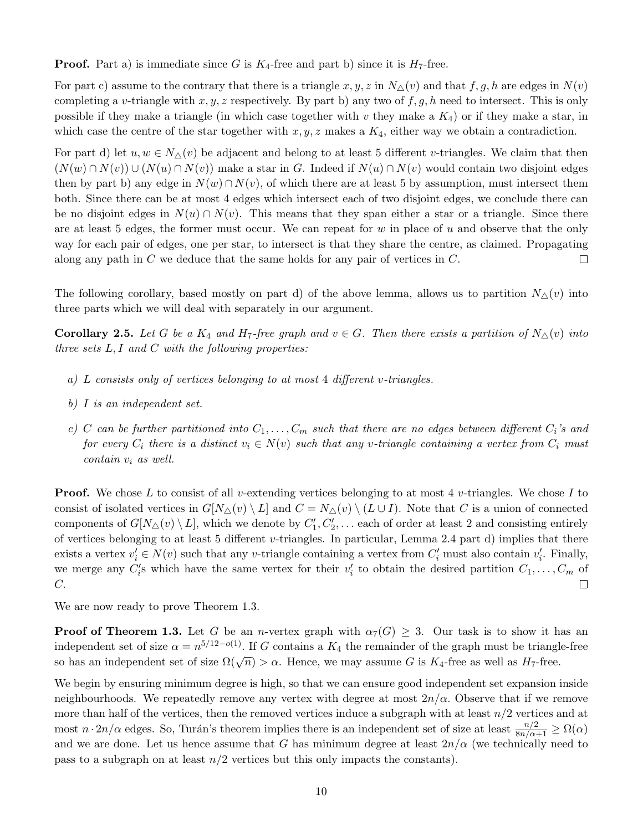**Proof.** Part a) is immediate since G is  $K_4$ -free and part b) since it is  $H_7$ -free.

For part c) assume to the contrary that there is a triangle x, y, z in  $N_{\Delta}(v)$  and that f, g, h are edges in  $N(v)$ completing a v-triangle with  $x, y, z$  respectively. By part b) any two of  $f, g, h$  need to intersect. This is only possible if they make a triangle (in which case together with v they make a  $K_4$ ) or if they make a star, in which case the centre of the star together with  $x, y, z$  makes a  $K_4$ , either way we obtain a contradiction.

For part d) let  $u, w \in N_{\Delta}(v)$  be adjacent and belong to at least 5 different v-triangles. We claim that then  $(N(w) \cap N(v)) \cup (N(u) \cap N(v))$  make a star in G. Indeed if  $N(u) \cap N(v)$  would contain two disjoint edges then by part b) any edge in  $N(w) \cap N(v)$ , of which there are at least 5 by assumption, must intersect them both. Since there can be at most 4 edges which intersect each of two disjoint edges, we conclude there can be no disjoint edges in  $N(u) \cap N(v)$ . This means that they span either a star or a triangle. Since there are at least 5 edges, the former must occur. We can repeat for  $w$  in place of  $u$  and observe that the only way for each pair of edges, one per star, to intersect is that they share the centre, as claimed. Propagating along any path in  $C$  we deduce that the same holds for any pair of vertices in  $C$ .  $\Box$ 

The following corollary, based mostly on part d) of the above lemma, allows us to partition  $N_{\Delta}(v)$  into three parts which we will deal with separately in our argument.

<span id="page-9-0"></span>**Corollary 2.5.** Let G be a  $K_4$  and  $H_7$ -free graph and  $v \in G$ . Then there exists a partition of  $N_{\Delta}(v)$  into three sets  $L, I$  and  $C$  with the following properties:

- a) L consists only of vertices belonging to at most 4 different v-triangles.
- b) I is an independent set.
- c) C can be further partitioned into  $C_1, \ldots, C_m$  such that there are no edges between different  $C_i$ 's and for every  $C_i$  there is a distinct  $v_i \in N(v)$  such that any v-triangle containing a vertex from  $C_i$  must contain v<sup>i</sup> as well.

**Proof.** We chose L to consist of all v-extending vertices belonging to at most 4 v-triangles. We chose I to consist of isolated vertices in  $G[N_\Delta(v) \setminus L]$  and  $C = N_\Delta(v) \setminus (L \cup I)$ . Note that C is a union of connected components of  $G[N_\Delta(v) \setminus L]$ , which we denote by  $C'_1, C'_2, \ldots$  each of order at least 2 and consisting entirely of vertices belonging to at least 5 different v-triangles. In particular, Lemma [2.4](#page-8-0) part d) implies that there exists a vertex  $v'_i \in N(v)$  such that any v-triangle containing a vertex from  $C'_i$  must also contain  $v'_i$ . Finally, we merge any  $C_i$ 's which have the same vertex for their  $v_i'$  to obtain the desired partition  $C_1, \ldots, C_m$  of C.  $\Box$ 

We are now ready to prove Theorem [1.3.](#page-1-2)

**Proof of Theorem [1.3.](#page-1-2)** Let G be an n-vertex graph with  $\alpha_7(G) \geq 3$ . Our task is to show it has an independent set of size  $\alpha = n^{5/12-o(1)}$ . If G contains a  $K_4$  the remainder of the graph must be triangle-free so has an independent set of size  $\Omega(\sqrt{n}) > \alpha$ . Hence, we may assume G is  $K_4$ -free as well as  $H_7$ -free.

We begin by ensuring minimum degree is high, so that we can ensure good independent set expansion inside neighbourhoods. We repeatedly remove any vertex with degree at most  $2n/\alpha$ . Observe that if we remove more than half of the vertices, then the removed vertices induce a subgraph with at least  $n/2$  vertices and at most  $n \cdot 2n/\alpha$  edges. So, Turán's theorem implies there is an independent set of size at least  $\frac{n/2}{8n/\alpha+1} \ge \Omega(\alpha)$ and we are done. Let us hence assume that G has minimum degree at least  $2n/\alpha$  (we technically need to pass to a subgraph on at least  $n/2$  vertices but this only impacts the constants).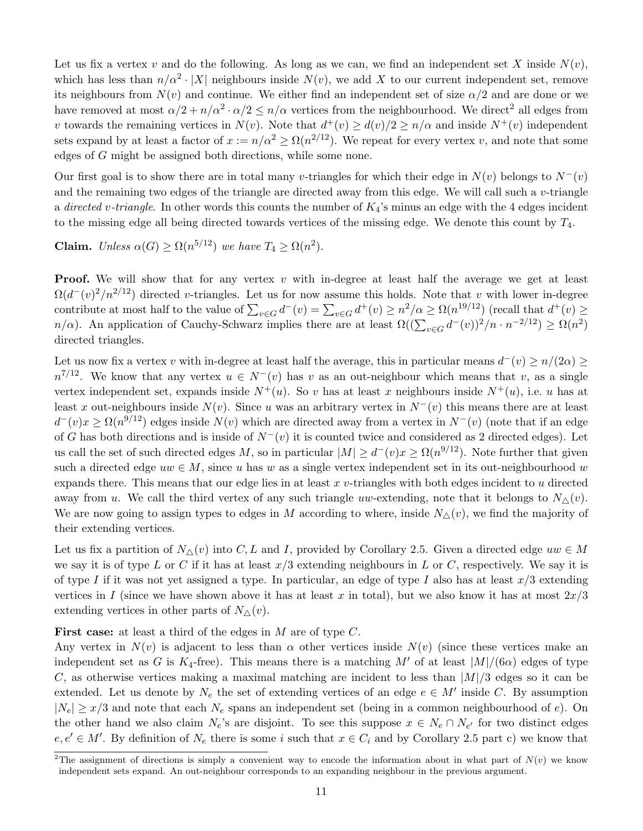Let us fix a vertex v and do the following. As long as we can, we find an independent set X inside  $N(v)$ , which has less than  $n/\alpha^2 \cdot |X|$  neighbours inside  $N(v)$ , we add X to our current independent set, remove its neighbours from  $N(v)$  and continue. We either find an independent set of size  $\alpha/2$  and are done or we have removed at most  $\alpha/2 + n/\alpha^2 \cdot \alpha/2 \le n/\alpha$  $\alpha/2 + n/\alpha^2 \cdot \alpha/2 \le n/\alpha$  $\alpha/2 + n/\alpha^2 \cdot \alpha/2 \le n/\alpha$  vertices from the neighbourhood. We direct<sup>2</sup> all edges from v towards the remaining vertices in  $N(v)$ . Note that  $d^+(v) \geq d(v)/2 \geq n/\alpha$  and inside  $N^+(v)$  independent sets expand by at least a factor of  $x := n/\alpha^2 \ge \Omega(n^{2/12})$ . We repeat for every vertex v, and note that some edges of G might be assigned both directions, while some none.

Our first goal is to show there are in total many v-triangles for which their edge in  $N(v)$  belongs to  $N^-(v)$ and the remaining two edges of the triangle are directed away from this edge. We will call such a v-triangle a directed v-triangle. In other words this counts the number of  $K_4$ 's minus an edge with the 4 edges incident to the missing edge all being directed towards vertices of the missing edge. We denote this count by  $T_4$ .

**Claim.** Unless  $\alpha(G) \geq \Omega(n^{5/12})$  we have  $T_4 \geq \Omega(n^2)$ .

**Proof.** We will show that for any vertex v with in-degree at least half the average we get at least  $\Omega(d^-(v)^2/n^{2/12})$  directed v-triangles. Let us for now assume this holds. Note that v with lower in-degree contribute at most half to the value of  $\sum_{v \in G} d^-(v) = \sum_{v \in G} d^+(v) \ge n^2/\alpha \ge \Omega(n^{19/12})$  (recall that  $d^+(v) \ge$  $n/\alpha$ ). An application of Cauchy-Schwarz implies there are at least  $\Omega((\sum_{v \in G} d^-(v))^2/n \cdot n^{-2/12}) \ge \Omega(n^2)$ directed triangles.

Let us now fix a vertex v with in-degree at least half the average, this in particular means  $d^-(v) \ge n/(2\alpha) \ge$  $n^{7/12}$ . We know that any vertex  $u \in N^-(v)$  has v as an out-neighbour which means that v, as a single vertex independent set, expands inside  $N^+(u)$ . So v has at least x neighbours inside  $N^+(u)$ , i.e. u has at least x out-neighbours inside  $N(v)$ . Since u was an arbitrary vertex in  $N^-(v)$  this means there are at least  $d^-(v)x \ge \Omega(n^{9/12})$  edges inside  $N(v)$  which are directed away from a vertex in  $N^-(v)$  (note that if an edge of G has both directions and is inside of  $N^-(v)$  it is counted twice and considered as 2 directed edges). Let us call the set of such directed edges M, so in particular  $|M| \geq d^-(v)x \geq \Omega(n^{9/12})$ . Note further that given such a directed edge  $uw \in M$ , since u has w as a single vertex independent set in its out-neighbourhood w expands there. This means that our edge lies in at least  $x$  v-triangles with both edges incident to  $u$  directed away from u. We call the third vertex of any such triangle uw-extending, note that it belongs to  $N_{\Delta}(v)$ . We are now going to assign types to edges in M according to where, inside  $N_{\Delta}(v)$ , we find the majority of their extending vertices.

Let us fix a partition of  $N_{\Delta}(v)$  into C, L and I, provided by Corollary [2.5.](#page-9-0) Given a directed edge  $uw \in M$ we say it is of type L or C if it has at least  $x/3$  extending neighbours in L or C, respectively. We say it is of type I if it was not yet assigned a type. In particular, an edge of type I also has at least  $x/3$  extending vertices in I (since we have shown above it has at least x in total), but we also know it has at most  $2x/3$ extending vertices in other parts of  $N_{\Delta}(v)$ .

**First case:** at least a third of the edges in  $M$  are of type  $C$ .

Any vertex in  $N(v)$  is adjacent to less than  $\alpha$  other vertices inside  $N(v)$  (since these vertices make an independent set as G is  $K_4$ -free). This means there is a matching M' of at least  $|M|/(\sqrt{6\alpha})$  edges of type C, as otherwise vertices making a maximal matching are incident to less than  $|M|/3$  edges so it can be extended. Let us denote by  $N_e$  the set of extending vertices of an edge  $e \in M'$  inside C. By assumption  $|N_e| \geq x/3$  and note that each  $N_e$  spans an independent set (being in a common neighbourhood of e). On the other hand we also claim  $N_e$ 's are disjoint. To see this suppose  $x \in N_e \cap N_{e'}$  for two distinct edges  $e, e' \in M'$ . By definition of  $N_e$  there is some i such that  $x \in C_i$  and by Corollary [2.5](#page-9-0) part c) we know that

<sup>&</sup>lt;sup>2</sup>The assignment of directions is simply a convenient way to encode the information about in what part of  $N(v)$  we know independent sets expand. An out-neighbour corresponds to an expanding neighbour in the previous argument.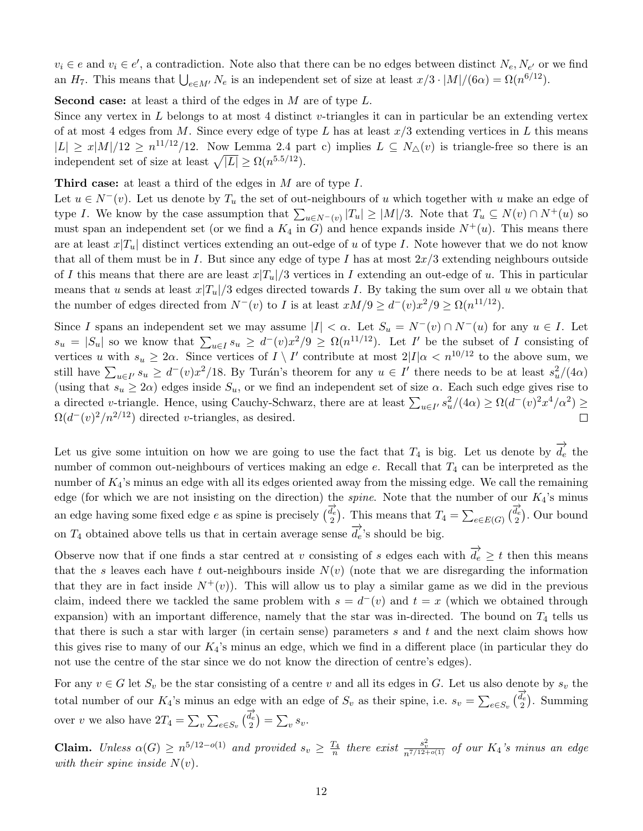$v_i \in e$  and  $v_i \in e'$ , a contradiction. Note also that there can be no edges between distinct  $N_e, N_{e'}$  or we find an  $H_7$ . This means that  $\bigcup_{e \in M'} N_e$  is an independent set of size at least  $x/3 \cdot |M|/(6\alpha) = \Omega(n^{6/12})$ .

**Second case:** at least a third of the edges in  $M$  are of type  $L$ .

Since any vertex in  $L$  belongs to at most 4 distinct v-triangles it can in particular be an extending vertex of at most 4 edges from M. Since every edge of type L has at least  $x/3$  extending vertices in L this means  $|L| \geq x|M|/12 \geq n^{11/12}/12$ . Now Lemma [2.4](#page-8-0) part c) implies  $L \subseteq N_{\Delta}(v)$  is triangle-free so there is an independent set of size at least  $\sqrt{|L|} \ge \Omega(n^{5.5/12})$ .

Third case: at least a third of the edges in M are of type I.

Let  $u \in N^-(v)$ . Let us denote by  $T_u$  the set of out-neighbours of u which together with u make an edge of type I. We know by the case assumption that  $\sum_{u\in N^-(v)} |T_u| \ge |M|/3$ . Note that  $T_u \subseteq N(v) \cap N^+(u)$  so must span an independent set (or we find a  $K_4$  in G) and hence expands inside  $N^+(u)$ . This means there are at least  $x|T_u|$  distinct vertices extending an out-edge of u of type I. Note however that we do not know that all of them must be in I. But since any edge of type I has at most  $2x/3$  extending neighbours outside of I this means that there are are least  $x|T_u/3$  vertices in I extending an out-edge of u. This in particular means that u sends at least  $x|T_u|/3$  edges directed towards I. By taking the sum over all u we obtain that the number of edges directed from  $N^-(v)$  to I is at least  $xM/9 \ge d^-(v)x^2/9 \ge \Omega(n^{11/12})$ .

Since I spans an independent set we may assume  $|I| < \alpha$ . Let  $S_u = N^-(v) \cap N^-(u)$  for any  $u \in I$ . Let  $s_u = |S_u|$  so we know that  $\sum_{u \in I} s_u \geq d^-(v)x^2/9 \geq \Omega(n^{11/12})$ . Let I' be the subset of I consisting of vertices u with  $s_u \geq 2\alpha$ . Since vertices of  $I \setminus I'$  contribute at most  $2|I|\alpha \langle n^{10/12}$  to the above sum, we still have  $\sum_{u\in I'} s_u \geq d^-(v)x^2/18$ . By Turán's theorem for any  $u \in I'$  there needs to be at least  $s_u^2/(4\alpha)$ (using that  $s_u \geq 2\alpha$ ) edges inside  $S_u$ , or we find an independent set of size  $\alpha$ . Each such edge gives rise to a directed v-triangle. Hence, using Cauchy-Schwarz, there are at least  $\sum_{u\in I'} s_u^2/(4\alpha) \ge \Omega(d^-(v)^2x^4/\alpha^2) \ge$  $\Omega(d^-(v)^2/n^{2/12})$  directed v-triangles, as desired.  $\Box$ 

Let us give some intuition on how we are going to use the fact that  $T_4$  is big. Let us denote by  $\overrightarrow{d_e}$  the number of common out-neighbours of vertices making an edge  $e$ . Recall that  $T_4$  can be interpreted as the number of  $K_4$ 's minus an edge with all its edges oriented away from the missing edge. We call the remaining edge (for which we are not insisting on the direction) the *spine*. Note that the number of our  $K_4$ 's minus an edge having some fixed edge e as spine is precisely  $\overrightarrow{d_e}$ . This means that  $T_4 = \sum_{e \in E(G)} \overrightarrow{d_e}$ . Our bound on  $T_4$  obtained above tells us that in certain average sense  $\overrightarrow{d_e}$ 's should be big.

Observe now that if one finds a star centred at v consisting of s edges each with  $\overrightarrow{d_e} \geq t$  then this means that the s leaves each have t out-neighbours inside  $N(v)$  (note that we are disregarding the information that they are in fact inside  $N^+(v)$ ). This will allow us to play a similar game as we did in the previous claim, indeed there we tackled the same problem with  $s = d^-(v)$  and  $t = x$  (which we obtained through expansion) with an important difference, namely that the star was in-directed. The bound on  $T_4$  tells us that there is such a star with larger (in certain sense) parameters  $s$  and  $t$  and the next claim shows how this gives rise to many of our  $K_4$ 's minus an edge, which we find in a different place (in particular they do not use the centre of the star since we do not know the direction of centre's edges).

For any  $v \in G$  let  $S_v$  be the star consisting of a centre v and all its edges in G. Let us also denote by  $s_v$  the total number of our  $K_4$ 's minus an edge with an edge of  $S_v$  as their spine, i.e.  $s_v = \sum_{e \in S_v} (\vec{\frac{d_e}{2}})$ . Summing over v we also have  $2T_4 = \sum_{v} \sum_{e \in S_v} \left(\frac{\overrightarrow{d_e}}{2}\right) = \sum_{v} s_v$ .

**Claim.** Unless  $\alpha(G) \ge n^{5/12-o(1)}$  and provided  $s_v \ge \frac{T_4}{n}$  there exist  $\frac{s_v^2}{n^{7/12+o(1)}}$  of our  $K_4$ 's minus an edge with their spine inside  $N(v)$ .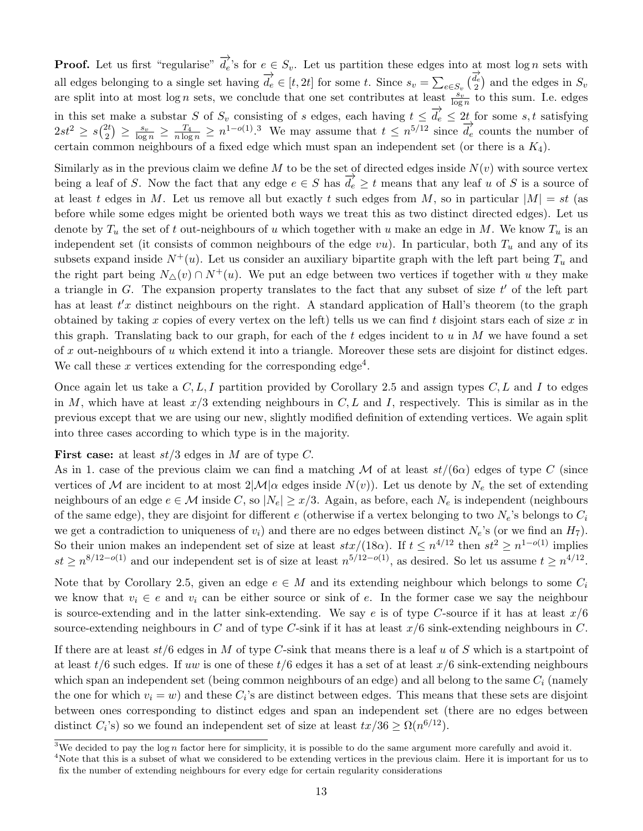**Proof.** Let us first "regularise"  $\overrightarrow{d_e}$ 's for  $e \in S_v$ . Let us partition these edges into at most log n sets with all edges belonging to a single set having  $\overrightarrow{d_e} \in [t, 2t]$  for some t. Since  $s_v = \sum_{e \in S_v} \begin{pmatrix} \overrightarrow{d_e} \\ 2 \end{pmatrix}$  and the edges in  $S_v$ are split into at most log n sets, we conclude that one set contributes at least  $\frac{s_v}{\log n}$  to this sum. I.e. edges in this set make a substar S of  $S_v$  consisting of s edges, each having  $t \leq \overrightarrow{d_e} \leq 2t$  for some s, t satisfying  $2st^2 \geq s\binom{2t}{2}$  $\frac{2t}{2}$   $\geq \frac{s_v}{\log n} \geq \frac{T_4}{n \log n} \geq n^{1-o(1)}$ .<sup>[3](#page-0-0)</sup> We may assume that  $t \leq n^{5/12}$  since  $\overrightarrow{d_e}$  counts the number of certain common neighbours of a fixed edge which must span an independent set (or there is a  $K_4$ ).

Similarly as in the previous claim we define M to be the set of directed edges inside  $N(v)$  with source vertex being a leaf of S. Now the fact that any edge  $e \in S$  has  $\overline{d_e} \ge t$  means that any leaf u of S is a source of at least t edges in M. Let us remove all but exactly t such edges from M, so in particular  $|M| = st$  (as before while some edges might be oriented both ways we treat this as two distinct directed edges). Let us denote by  $T_u$  the set of t out-neighbours of u which together with u make an edge in M. We know  $T_u$  is an independent set (it consists of common neighbours of the edge  $vu$ ). In particular, both  $T_u$  and any of its subsets expand inside  $N^+(u)$ . Let us consider an auxiliary bipartite graph with the left part being  $T_u$  and the right part being  $N_{\Delta}(v) \cap N^{+}(u)$ . We put an edge between two vertices if together with u they make a triangle in  $G$ . The expansion property translates to the fact that any subset of size  $t'$  of the left part has at least  $t'x$  distinct neighbours on the right. A standard application of Hall's theorem (to the graph obtained by taking x copies of every vertex on the left) tells us we can find t disjoint stars each of size  $x$  in this graph. Translating back to our graph, for each of the t edges incident to u in M we have found a set of x out-neighbours of u which extend it into a triangle. Moreover these sets are disjoint for distinct edges. We call these x vertices extending for the corresponding edge<sup>[4](#page-0-0)</sup>.

Once again let us take a  $C, L, I$  partition provided by Corollary [2.5](#page-9-0) and assign types  $C, L$  and I to edges in M, which have at least  $x/3$  extending neighbours in C, L and I, respectively. This is similar as in the previous except that we are using our new, slightly modified definition of extending vertices. We again split into three cases according to which type is in the majority.

#### **First case:** at least  $st/3$  edges in M are of type C.

As in 1. case of the previous claim we can find a matching M of at least  $st/(6\alpha)$  edges of type C (since vertices of M are incident to at most  $2|\mathcal{M}|\alpha$  edges inside  $N(v)$ ). Let us denote by  $N_e$  the set of extending neighbours of an edge  $e \in M$  inside C, so  $|N_e| \geq x/3$ . Again, as before, each  $N_e$  is independent (neighbours of the same edge), they are disjoint for different e (otherwise if a vertex belonging to two  $N_e$ 's belongs to  $C_i$ we get a contradiction to uniqueness of  $v_i$ ) and there are no edges between distinct  $N_e$ 's (or we find an  $H_7$ ). So their union makes an independent set of size at least  $stx/(18\alpha)$ . If  $t \leq n^{4/12}$  then  $st^2 \geq n^{1-o(1)}$  implies  $st \geq n^{8/12-o(1)}$  and our independent set is of size at least  $n^{5/12-o(1)}$ , as desired. So let us assume  $t \geq n^{4/12}$ .

Note that by Corollary [2.5,](#page-9-0) given an edge  $e \in M$  and its extending neighbour which belongs to some  $C_i$ we know that  $v_i \in e$  and  $v_i$  can be either source or sink of e. In the former case we say the neighbour is source-extending and in the latter sink-extending. We say e is of type C-source if it has at least  $x/6$ source-extending neighbours in C and of type C-sink if it has at least  $x/6$  sink-extending neighbours in C.

If there are at least  $st/6$  edges in M of type C-sink that means there is a leaf u of S which is a startpoint of at least  $t/6$  such edges. If uw is one of these  $t/6$  edges it has a set of at least  $x/6$  sink-extending neighbours which span an independent set (being common neighbours of an edge) and all belong to the same  $C_i$  (namely the one for which  $v_i = w$ ) and these  $C_i$ 's are distinct between edges. This means that these sets are disjoint between ones corresponding to distinct edges and span an independent set (there are no edges between distinct  $C_i$ 's) so we found an independent set of size at least  $tx/36 \ge \Omega(n^{6/12})$ .

<sup>&</sup>lt;sup>3</sup>We decided to pay the log n factor here for simplicity, it is possible to do the same argument more carefully and avoid it.

<sup>&</sup>lt;sup>4</sup>Note that this is a subset of what we considered to be extending vertices in the previous claim. Here it is important for us to fix the number of extending neighbours for every edge for certain regularity considerations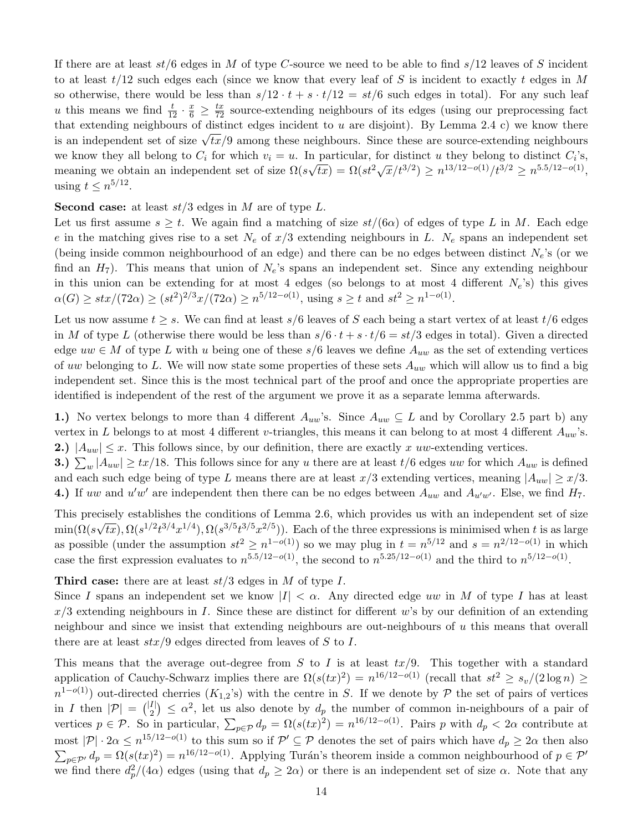If there are at least  $st/6$  edges in M of type C-source we need to be able to find  $s/12$  leaves of S incident to at least  $t/12$  such edges each (since we know that every leaf of S is incident to exactly t edges in M so otherwise, there would be less than  $s/12 \cdot t + s \cdot t/12 = st/6$  such edges in total). For any such leaf u this means we find  $\frac{t}{12} \cdot \frac{x}{6} \ge \frac{tx}{72}$  source-extending neighbours of its edges (using our preprocessing fact that extending neighbours of distinct edges incident to u are disjoint). By Lemma [2.4](#page-8-0) c) we know there that extending neighbours of distinct edges incident to a are disjoint). By Lemma 2.4 C we know there is an independent set of size  $\sqrt{tx}/9$  among these neighbours. Since these are source-extending neighbours we know they all belong to  $C_i$  for which  $v_i = u$ . In particular, for distinct u they belong to distinct  $C_i$ 's, meaning we obtain an independent set of size  $\Omega(s)$  $\sqrt{tx} = \Omega(st^2 \sqrt{x}/t^{3/2}) \ge n^{13/12 - o(1)}/t^{3/2} \ge n^{5.5/12 - o(1)},$ using  $t \leq n^{5/12}$ .

**Second case:** at least  $st/3$  edges in M are of type L.

Let us first assume  $s \geq t$ . We again find a matching of size  $st/(6\alpha)$  of edges of type L in M. Each edge e in the matching gives rise to a set  $N_e$  of  $x/3$  extending neighbours in L.  $N_e$  spans an independent set (being inside common neighbourhood of an edge) and there can be no edges between distinct  $N_e$ 's (or we find an  $H_7$ ). This means that union of  $N_e$ 's spans an independent set. Since any extending neighbour in this union can be extending for at most 4 edges (so belongs to at most 4 different  $N_e$ 's) this gives  $\alpha(G) \geq \frac{str}{(72\alpha)} \geq \frac{3r^2}{3x}$  (72 $\alpha$ )  $\geq n^{5/12-o(1)}$ , using  $s \geq t$  and  $st^2 \geq n^{1-o(1)}$ .

Let us now assume  $t \geq s$ . We can find at least s/6 leaves of S each being a start vertex of at least  $t/6$  edges in M of type L (otherwise there would be less than  $s/6 \cdot t + s \cdot t/6 = st/3$  edges in total). Given a directed edge  $uw \in M$  of type L with u being one of these  $s/6$  leaves we define  $A_{uw}$  as the set of extending vertices of uw belonging to L. We will now state some properties of these sets  $A_{uw}$  which will allow us to find a big independent set. Since this is the most technical part of the proof and once the appropriate properties are identified is independent of the rest of the argument we prove it as a separate lemma afterwards.

1.) No vertex belongs to more than 4 different  $A_{uw}$ 's. Since  $A_{uw} \subseteq L$  and by Corollary [2.5](#page-9-0) part b) any vertex in L belongs to at most 4 different v-triangles, this means it can belong to at most 4 different  $A_{uw}$ 's. 2.)  $|A_{uw}| \leq x$ . This follows since, by our definition, there are exactly x uw-extending vertices.

**3.**)  $\sum_{w} |A_{uw}| \geq tx/18$ . This follows since for any u there are at least  $t/6$  edges uw for which  $A_{uw}$  is defined and each such edge being of type L means there are at least  $x/3$  extending vertices, meaning  $|A_{uw}| \geq x/3$ . 4.) If uw and  $u'w'$  are independent then there can be no edges between  $A_{uw}$  and  $A_{u'w'}$ . Else, we find  $H_7$ .

This precisely establishes the conditions of Lemma [2.6,](#page-14-0) which provides us with an independent set of size  $\min(\Omega(s$ √  $\overline{tx}$ ),  $\Omega(s^{1/2}t^{3/4}x^{1/4})$ ,  $\Omega(s^{3/5}t^{3/5}x^{2/5})$ ). Each of the three expressions is minimised when t is as large as possible (under the assumption  $st^2 \geq n^{1-o(1)}$ ) so we may plug in  $t = n^{5/12}$  and  $s = n^{2/12-o(1)}$  in which case the first expression evaluates to  $n^{5.5/12-o(1)}$ , the second to  $n^{5.25/12-o(1)}$  and the third to  $n^{5/12-o(1)}$ .

Third case: there are at least  $st/3$  edges in M of type I.

Since I spans an independent set we know  $|I| < \alpha$ . Any directed edge uw in M of type I has at least  $x/3$  extending neighbours in I. Since these are distinct for different w's by our definition of an extending neighbour and since we insist that extending neighbours are out-neighbours of  $u$  this means that overall there are at least  $\frac{str}{9}$  edges directed from leaves of S to I.

This means that the average out-degree from  $S$  to  $I$  is at least  $tx/9$ . This together with a standard application of Cauchy-Schwarz implies there are  $\Omega(s(tx)^2) = n^{16/12-o(1)}$  (recall that  $st^2 \ge s_v/(2 \log n) \ge$  $n^{1-o(1)}$  out-directed cherries  $(K_{1,2}$ 's) with the centre in S. If we denote by P the set of pairs of vertices in I then  $|\mathcal{P}| = \binom{|I|}{2}$  $\binom{I}{2} \leq \alpha^2$ , let us also denote by  $d_p$  the number of common in-neighbours of a pair of vertices  $p \in \mathcal{P}$ . So in particular,  $\sum_{p \in \mathcal{P}} d_p = \Omega(s(tx)^2) = n^{16/12 - o(1)}$ . Pairs p with  $d_p < 2\alpha$  contribute at most  $|\mathcal{P}| \cdot 2\alpha \leq n^{15/12 - o(1)}$  to this sum so if  $\mathcal{P}' \subseteq \mathcal{P}$  denotes the set of pairs which have  $d_p \geq 2\alpha$  then also  $\sum_{p \in \mathcal{P}'} d_p = \Omega(s(tx)^2) = n^{16/12 - o(1)}$ . Applying Turán's theorem inside a common neighbourhood of  $p \in \mathcal{P}'$ we find there  $d_p^2/(4\alpha)$  edges (using that  $d_p \geq 2\alpha$ ) or there is an independent set of size  $\alpha$ . Note that any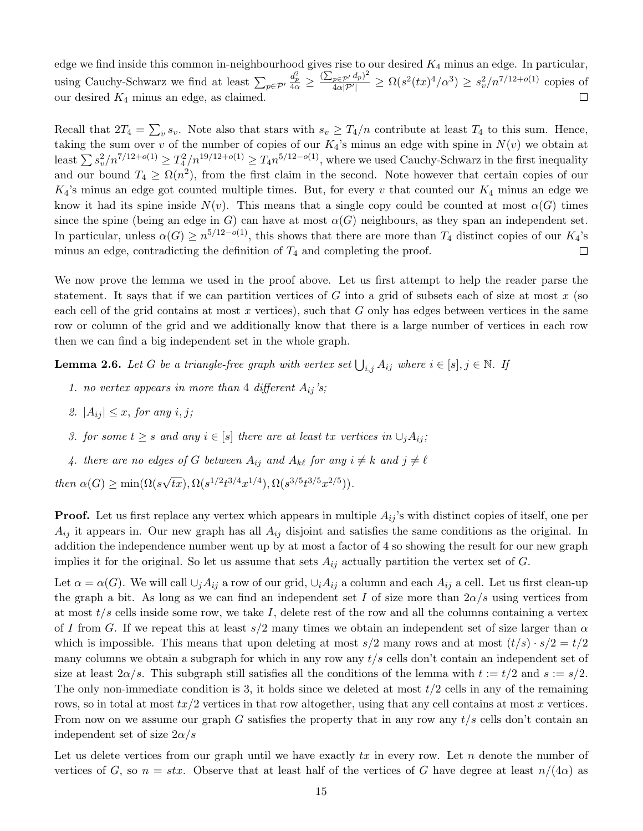edge we find inside this common in-neighbourhood gives rise to our desired  $K_4$  minus an edge. In particular,  $\frac{d_p^2}{4\alpha} \geq \frac{(\sum_{p \in \mathcal{P}'} d_p)^2}{4\alpha|\mathcal{P}'|}$  $\frac{q_0 \in \mathcal{P}'}{4\alpha|\mathcal{P}'|} \ge \Omega(s^2 (tx)^4/\alpha^3) \ge s_v^2/n^{7/12+o(1)}$  copies of using Cauchy-Schwarz we find at least  $\sum_{p \in \mathcal{P}'}$ our desired  $K_4$  minus an edge, as claimed.  $\Box$ 

Recall that  $2T_4 = \sum_{v} s_v$ . Note also that stars with  $s_v \geq T_4/n$  contribute at least  $T_4$  to this sum. Hence, taking the sum over v of the number of copies of our  $K_4$ 's minus an edge with spine in  $N(v)$  we obtain at least  $\sum s_v^2/n^{7/12+o(1)} \ge T_4^2/n^{19/12+o(1)} \ge T_4 n^{5/12-o(1)}$ , where we used Cauchy-Schwarz in the first inequality and our bound  $T_4 \geq \Omega(n^2)$ , from the first claim in the second. Note however that certain copies of our  $K_4$ 's minus an edge got counted multiple times. But, for every v that counted our  $K_4$  minus an edge we know it had its spine inside  $N(v)$ . This means that a single copy could be counted at most  $\alpha(G)$  times since the spine (being an edge in G) can have at most  $\alpha(G)$  neighbours, as they span an independent set. In particular, unless  $\alpha(G) \ge n^{5/12-o(1)}$ , this shows that there are more than  $T_4$  distinct copies of our  $K_4$ 's minus an edge, contradicting the definition of  $T_4$  and completing the proof.  $\Box$ 

We now prove the lemma we used in the proof above. Let us first attempt to help the reader parse the statement. It says that if we can partition vertices of G into a grid of subsets each of size at most x (so each cell of the grid contains at most  $x$  vertices), such that  $G$  only has edges between vertices in the same row or column of the grid and we additionally know that there is a large number of vertices in each row then we can find a big independent set in the whole graph.

<span id="page-14-0"></span>**Lemma 2.6.** Let G be a triangle-free graph with vertex set  $\bigcup_{i,j} A_{ij}$  where  $i \in [s], j \in \mathbb{N}$ . If

- 1. no vertex appears in more than 4 different  $A_{ij}$ 's;
- 2.  $|A_{ii}| \leq x$ , for any i, j;
- 3. for some  $t \geq s$  and any  $i \in [s]$  there are at least tx vertices in  $\cup_i A_{ij}$ ;
- 4. there are no edges of G between  $A_{ij}$  and  $A_{k\ell}$  for any  $i \neq k$  and  $j \neq \ell$

then  $\alpha(G) \geq \min(\Omega(s))$ √  $\overline{tx}), \Omega(s^{1/2}t^{3/4}x^{1/4}), \Omega(s^{3/5}t^{3/5}x^{2/5})).$ 

**Proof.** Let us first replace any vertex which appears in multiple  $A_{ij}$ 's with distinct copies of itself, one per  $A_{ij}$  it appears in. Our new graph has all  $A_{ij}$  disjoint and satisfies the same conditions as the original. In addition the independence number went up by at most a factor of 4 so showing the result for our new graph implies it for the original. So let us assume that sets  $A_{ij}$  actually partition the vertex set of G.

Let  $\alpha = \alpha(G)$ . We will call  $\cup_i A_{ij}$  a row of our grid,  $\cup_i A_{ij}$  a column and each  $A_{ij}$  a cell. Let us first clean-up the graph a bit. As long as we can find an independent set I of size more than  $2\alpha/s$  using vertices from at most  $t/s$  cells inside some row, we take I, delete rest of the row and all the columns containing a vertex of I from G. If we repeat this at least  $s/2$  many times we obtain an independent set of size larger than  $\alpha$ which is impossible. This means that upon deleting at most  $s/2$  many rows and at most  $(t/s) \cdot s/2 = t/2$ many columns we obtain a subgraph for which in any row any  $t/s$  cells don't contain an independent set of size at least  $2\alpha/s$ . This subgraph still satisfies all the conditions of the lemma with  $t := t/2$  and  $s := s/2$ . The only non-immediate condition is 3, it holds since we deleted at most  $t/2$  cells in any of the remaining rows, so in total at most  $tx/2$  vertices in that row altogether, using that any cell contains at most x vertices. From now on we assume our graph G satisfies the property that in any row any  $t/s$  cells don't contain an independent set of size  $2\alpha/s$ 

Let us delete vertices from our graph until we have exactly  $tx$  in every row. Let n denote the number of vertices of G, so  $n = str$ . Observe that at least half of the vertices of G have degree at least  $n/(4\alpha)$  as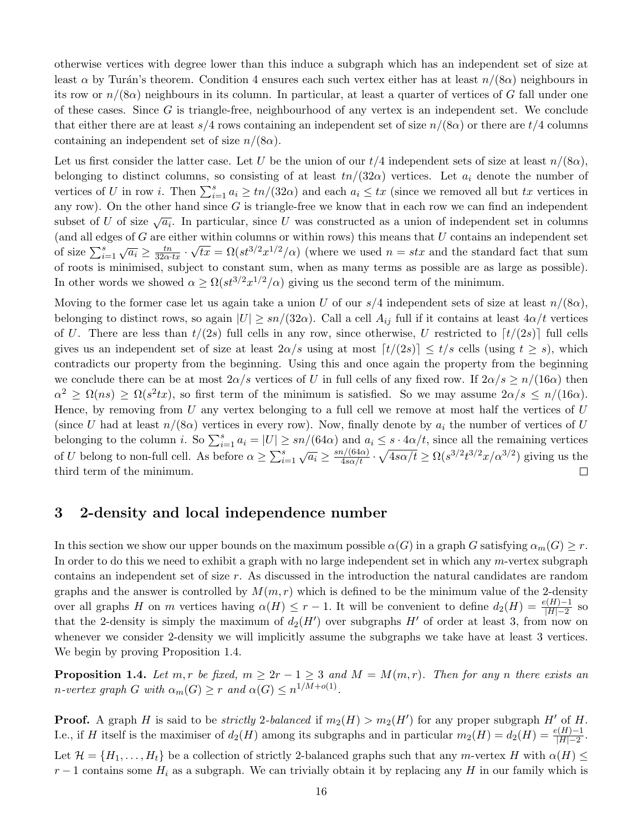otherwise vertices with degree lower than this induce a subgraph which has an independent set of size at least  $\alpha$  by Turán's theorem. Condition 4 ensures each such vertex either has at least  $n/(8\alpha)$  neighbours in its row or  $n/(8\alpha)$  neighbours in its column. In particular, at least a quarter of vertices of G fall under one of these cases. Since  $G$  is triangle-free, neighbourhood of any vertex is an independent set. We conclude that either there are at least  $s/4$  rows containing an independent set of size  $n/(8\alpha)$  or there are  $t/4$  columns containing an independent set of size  $n/(8\alpha)$ .

Let us first consider the latter case. Let U be the union of our  $t/4$  independent sets of size at least  $n/(8\alpha)$ , belonging to distinct columns, so consisting of at least  $tn/(32\alpha)$  vertices. Let  $a_i$  denote the number of vertices of U in row *i*. Then  $\sum_{i=1}^{s} a_i \ge \frac{tn}{32\alpha}$  and each  $a_i \le tx$  (since we removed all but tx vertices in any row). On the other hand since  $G$  is triangle-free we know that in each row we can find an independent subset of U of size  $\sqrt{a_i}$ . In particular, since U was constructed as a union of independent set in columns (and all edges of G are either within columns or within rows) this means that U contains an independent set of size  $\sum_{i=1}^{s} \sqrt{a_i} \ge \frac{tn}{32\alpha \cdot tx} \cdot \sqrt{tx} = \Omega(st^{3/2}x^{1/2}/\alpha)$  (where we used  $n = stx$  and the standard fact that sum of roots is minimised, subject to constant sum, when as many terms as possible are as large as possible). In other words we showed  $\alpha \geq \Omega(st^{3/2}x^{1/2}/\alpha)$  giving us the second term of the minimum.

Moving to the former case let us again take a union U of our  $s/4$  independent sets of size at least  $n/(8\alpha)$ , belonging to distinct rows, so again  $|U| \geq sn/(32\alpha)$ . Call a cell  $A_{ij}$  full if it contains at least  $4\alpha/t$  vertices of U. There are less than  $t/(2s)$  full cells in any row, since otherwise, U restricted to  $\lceil t/(2s) \rceil$  full cells gives us an independent set of size at least  $2\alpha/s$  using at most  $\lceil t/(2s)\rceil \leq t/s$  cells (using  $t \geq s$ ), which contradicts our property from the beginning. Using this and once again the property from the beginning we conclude there can be at most  $2\alpha/s$  vertices of U in full cells of any fixed row. If  $2\alpha/s \ge n/(16\alpha)$  then  $\alpha^2 \geq \Omega(ns) \geq \Omega(s^2tx)$ , so first term of the minimum is satisfied. So we may assume  $2\alpha/s \leq n/(16\alpha)$ . Hence, by removing from  $U$  any vertex belonging to a full cell we remove at most half the vertices of  $U$ (since U had at least  $n/(8\alpha)$  vertices in every row). Now, finally denote by  $a_i$  the number of vertices of U belonging to the column *i*. So  $\sum_{i=1}^{s} a_i = |U| \geq sn/(64\alpha)$  and  $a_i \leq s \cdot 4\alpha/t$ , since all the remaining vertices of U belong to non-full cell. As before  $\alpha \ge \sum_{i=1}^s \sqrt{a_i} \ge \frac{sn/(64\alpha)}{4s\alpha/t} \cdot \sqrt{4s\alpha/t} \ge \Omega(s^{3/2}t^{3/2}x/\alpha^{3/2})$  giving us the third term of the minimum.  $\Box$ 

### 3 2-density and local independence number

In this section we show our upper bounds on the maximum possible  $\alpha(G)$  in a graph G satisfying  $\alpha_m(G) \geq r$ . In order to do this we need to exhibit a graph with no large independent set in which any m-vertex subgraph contains an independent set of size r. As discussed in the introduction the natural candidates are random graphs and the answer is controlled by  $M(m, r)$  which is defined to be the minimum value of the 2-density over all graphs H on m vertices having  $\alpha(H) \leq r - 1$ . It will be convenient to define  $d_2(H) = \frac{e(H)-1}{|H|-2}$  so that the 2-density is simply the maximum of  $d_2(H')$  over subgraphs  $H'$  of order at least 3, from now on whenever we consider 2-density we will implicitly assume the subgraphs we take have at least 3 vertices. We begin by proving Proposition [1.4.](#page-2-0)

**Proposition 1.4.** Let m, r be fixed,  $m \geq 2r - 1 \geq 3$  and  $M = M(m, r)$ . Then for any n there exists an *n*-vertex graph G with  $\alpha_m(G) \geq r$  and  $\alpha(G) \leq n^{1/M + o(1)}$ .

**Proof.** A graph H is said to be *strictly* 2-balanced if  $m_2(H) > m_2(H')$  for any proper subgraph H' of H. I.e., if H itself is the maximiser of  $d_2(H)$  among its subgraphs and in particular  $m_2(H) = d_2(H) = \frac{e(H)-1}{|H|-2}$ . Let  $\mathcal{H} = \{H_1, \ldots, H_t\}$  be a collection of strictly 2-balanced graphs such that any m-vertex H with  $\alpha(H) \leq$  $r-1$  contains some  $H_i$  as a subgraph. We can trivially obtain it by replacing any H in our family which is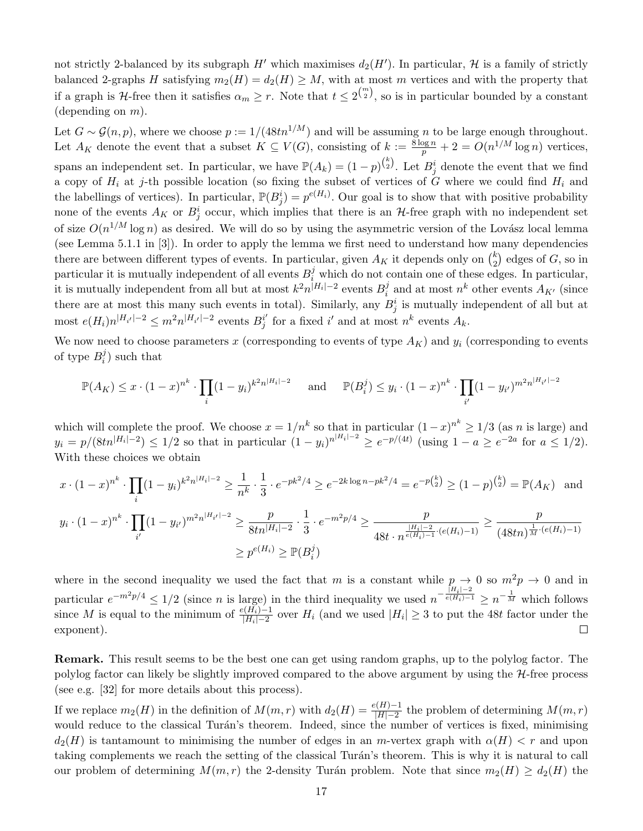not strictly 2-balanced by its subgraph  $H'$  which maximises  $d_2(H')$ . In particular,  $\mathcal H$  is a family of strictly balanced 2-graphs H satisfying  $m_2(H) = d_2(H) \geq M$ , with at most m vertices and with the property that if a graph is H-free then it satisfies  $\alpha_m \geq r$ . Note that  $t \leq 2^{\binom{m}{2}}$ , so is in particular bounded by a constant (depending on  $m$ ).

Let  $G \sim \mathcal{G}(n, p)$ , where we choose  $p := 1/(48tn^{1/M})$  and will be assuming n to be large enough throughout. Let  $A_K$  denote the event that a subset  $K \subseteq V(G)$ , consisting of  $k := \frac{8 \log n}{p} + 2 = O(n^{1/M} \log n)$  vertices, spans an independent set. In particular, we have  $\mathbb{P}(A_k) = (1-p)^{k \choose 2}$ . Let  $B_j^i$  denote the event that we find a copy of  $H_i$  at j-th possible location (so fixing the subset of vertices of G where we could find  $H_i$  and the labellings of vertices). In particular,  $\mathbb{P}(B_j^i) = p^{e(H_i)}$ . Our goal is to show that with positive probability none of the events  $A_K$  or  $B_j^i$  occur, which implies that there is an H-free graph with no independent set of size  $O(n^{1/M} \log n)$  as desired. We will do so by using the asymmetric version of the Lovász local lemma (see Lemma 5.1.1 in [\[3\]](#page-24-11)). In order to apply the lemma we first need to understand how many dependencies there are between different types of events. In particular, given  $A_K$  it depends only on  $\binom{k}{2}$  $_{2}^{k}$ ) edges of  $G$ , so in particular it is mutually independent of all events  $B_i^j$  which do not contain one of these edges. In particular, it is mutually independent from all but at most  $k^2 n^{|H_i|-2}$  events  $B_i^j$  $i$  and at most  $n^k$  other events  $A_{K'}$  (since there are at most this many such events in total). Similarly, any  $B_j^i$  is mutually independent of all but at most  $e(H_i)n^{|H_{i'}|-2} \leq m^2 n^{|H_{i'}|-2}$  events  $B_i^{i'}$  $j^{i'}$  for a fixed i' and at most  $n^k$  events  $A_k$ .

We now need to choose parameters x (corresponding to events of type  $A_K$ ) and  $y_i$  (corresponding to events of type  $B_i^j$  $i)$  such that

$$
\mathbb{P}(A_K) \leq x \cdot (1-x)^{n^k} \cdot \prod_i (1-y_i)^{k^2 n^{|H_i|-2}} \quad \text{and} \quad \mathbb{P}(B_i^j) \leq y_i \cdot (1-x)^{n^k} \cdot \prod_{i'} (1-y_{i'})^{m^2 n^{|H_{i'}|-2}}
$$

which will complete the proof. We choose  $x = 1/n^k$  so that in particular  $(1-x)^{n^k} \ge 1/3$  (as n is large) and  $y_i = p/(8tn^{|H_i|-2}) \leq 1/2$  so that in particular  $(1 - y_i)^{n^{|H_i|-2}} \geq e^{-p/(4t)}$  (using  $1 - a \geq e^{-2a}$  for  $a \leq 1/2$ ). With these choices we obtain

$$
x \cdot (1-x)^{n^k} \cdot \prod_i (1-y_i)^{k^2 n^{|H_i|-2}} \ge \frac{1}{n^k} \cdot \frac{1}{3} \cdot e^{-pk^2/4} \ge e^{-2k \log n - pk^2/4} = e^{-p {k \choose 2}} \ge (1-p)^{{k \choose 2}} = \mathbb{P}(A_K) \text{ and}
$$
  

$$
y_i \cdot (1-x)^{n^k} \cdot \prod_{i'} (1-y_{i'})^{m^2 n^{|H_{i'}|-2}} \ge \frac{p}{8tn^{|H_i|-2}} \cdot \frac{1}{3} \cdot e^{-m^2 p/4} \ge \frac{p}{48t \cdot n^{\frac{|H_i|-2}{e(H_i)-1} \cdot (e(H_i)-1)}} \ge \frac{p}{(48tn)^{\frac{1}{M} \cdot (e(H_i)-1)}}
$$
  

$$
\ge p^{e(H_i)} \ge \mathbb{P}(B_i^j)
$$

where in the second inequality we used the fact that m is a constant while  $p \to 0$  so  $m^2p \to 0$  and in particular  $e^{-m^2 p/4} \leq 1/2$  (since *n* is large) in the third inequality we used  $n^{-\frac{|H_i|-2}{e(H_i)-1}} \geq n^{-\frac{1}{M}}$  which follows since M is equal to the minimum of  $\frac{e(H_i)-1}{|H_i|-2}$  over  $H_i$  (and we used  $|H_i|\geq 3$  to put the 48t factor under the exponent).  $\Box$ 

Remark. This result seems to be the best one can get using random graphs, up to the polylog factor. The polylog factor can likely be slightly improved compared to the above argument by using the  $H$ -free process (see e.g. [\[32\]](#page-25-20) for more details about this process).

If we replace  $m_2(H)$  in the definition of  $M(m,r)$  with  $d_2(H) = \frac{e(H)-1}{|H|-2}$  the problem of determining  $M(m,r)$ would reduce to the classical Turán's theorem. Indeed, since the number of vertices is fixed, minimising  $d_2(H)$  is tantamount to minimising the number of edges in an m-vertex graph with  $\alpha(H) < r$  and upon taking complements we reach the setting of the classical Turán's theorem. This is why it is natural to call our problem of determining  $M(m, r)$  the 2-density Turán problem. Note that since  $m_2(H) \geq d_2(H)$  the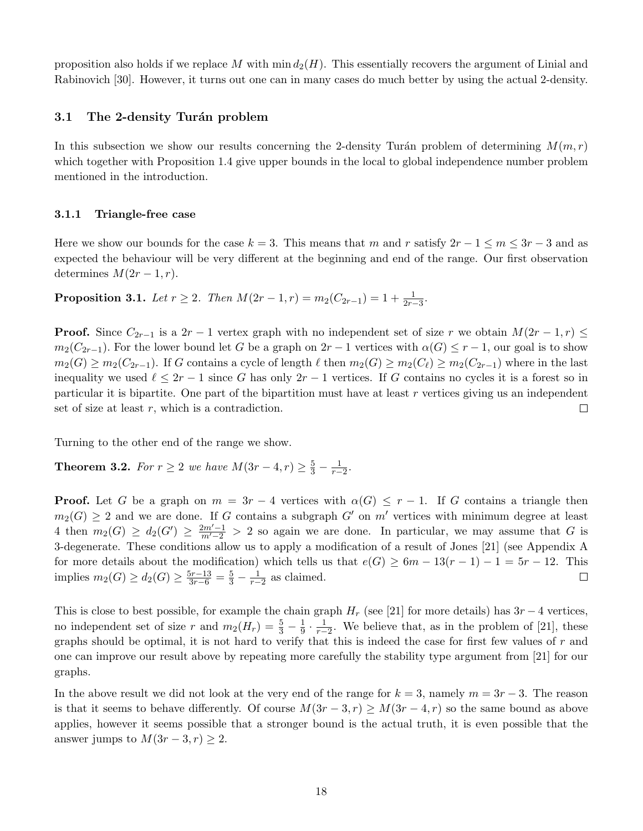proposition also holds if we replace M with  $\min d_2(H)$ . This essentially recovers the argument of Linial and Rabinovich [\[30\]](#page-25-6). However, it turns out one can in many cases do much better by using the actual 2-density.

### 3.1 The 2-density Turán problem

In this subsection we show our results concerning the 2-density Turán problem of determining  $M(m, r)$ which together with Proposition [1.4](#page-2-0) give upper bounds in the local to global independence number problem mentioned in the introduction.

#### 3.1.1 Triangle-free case

Here we show our bounds for the case  $k = 3$ . This means that m and r satisfy  $2r - 1 \le m \le 3r - 3$  and as expected the behaviour will be very different at the beginning and end of the range. Our first observation determines  $M(2r-1, r)$ .

**Proposition 3.1.** Let  $r \ge 2$ . Then  $M(2r-1,r) = m_2(C_{2r-1}) = 1 + \frac{1}{2r-3}$ .

**Proof.** Since  $C_{2r-1}$  is a  $2r-1$  vertex graph with no independent set of size r we obtain  $M(2r-1,r) \leq$  $m_2(C_{2r-1})$ . For the lower bound let G be a graph on  $2r-1$  vertices with  $\alpha(G) \leq r-1$ , our goal is to show  $m_2(G) \geq m_2(C_{2r-1})$ . If G contains a cycle of length  $\ell$  then  $m_2(G) \geq m_2(C_{\ell}) \geq m_2(C_{2r-1})$  where in the last inequality we used  $\ell \leq 2r - 1$  since G has only  $2r - 1$  vertices. If G contains no cycles it is a forest so in particular it is bipartite. One part of the bipartition must have at least r vertices giving us an independent set of size at least  $r$ , which is a contradiction.  $\Box$ 

Turning to the other end of the range we show.

**Theorem 3.2.** For  $r \ge 2$  we have  $M(3r-4, r) \ge \frac{5}{3} - \frac{1}{r-2}$ .

**Proof.** Let G be a graph on  $m = 3r - 4$  vertices with  $\alpha(G) \leq r - 1$ . If G contains a triangle then  $m_2(G) \geq 2$  and we are done. If G contains a subgraph G' on m' vertices with minimum degree at least 4 then  $m_2(G) \geq d_2(G') \geq \frac{2m'-1}{m'-2} > 2$  so again we are done. In particular, we may assume that G is 3-degenerate. These conditions allow us to apply a modification of a result of Jones [\[21\]](#page-25-15) (see Appendix [A](#page-26-0) for more details about the modification) which tells us that  $e(G) \geq 6m - 13(r - 1) - 1 = 5r - 12$ . This implies  $m_2(G) \ge d_2(G) \ge \frac{5r-13}{3r-6} = \frac{5}{3} - \frac{1}{r-2}$  as claimed.  $\Box$ 

This is close to best possible, for example the chain graph  $H_r$  (see [\[21\]](#page-25-15) for more details) has  $3r - 4$  vertices, no independent set of size r and  $m_2(H_r) = \frac{5}{3} - \frac{1}{9}$  $\frac{1}{9} \cdot \frac{1}{r-2}$ . We believe that, as in the problem of [\[21\]](#page-25-15), these graphs should be optimal, it is not hard to verify that this is indeed the case for first few values of  $r$  and one can improve our result above by repeating more carefully the stability type argument from [\[21\]](#page-25-15) for our graphs.

In the above result we did not look at the very end of the range for  $k = 3$ , namely  $m = 3r - 3$ . The reason is that it seems to behave differently. Of course  $M(3r-3, r) \geq M(3r-4, r)$  so the same bound as above applies, however it seems possible that a stronger bound is the actual truth, it is even possible that the answer jumps to  $M(3r-3, r) \geq 2$ .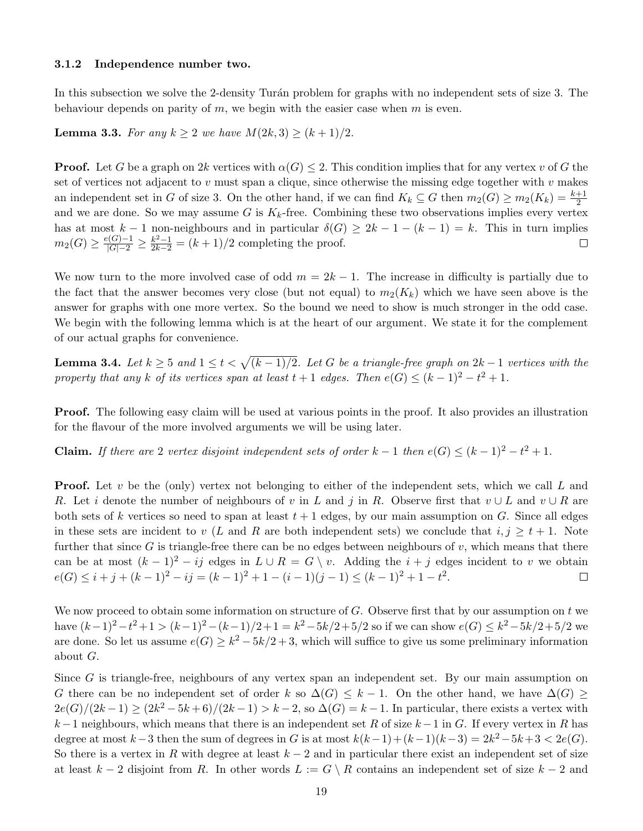#### 3.1.2 Independence number two.

In this subsection we solve the 2-density Turán problem for graphs with no independent sets of size 3. The behaviour depends on parity of m, we begin with the easier case when m is even.

<span id="page-18-1"></span>**Lemma 3.3.** For any  $k \ge 2$  we have  $M(2k, 3) \ge (k + 1)/2$ .

**Proof.** Let G be a graph on 2k vertices with  $\alpha(G) \leq 2$ . This condition implies that for any vertex v of G the set of vertices not adjacent to v must span a clique, since otherwise the missing edge together with v makes an independent set in G of size 3. On the other hand, if we can find  $K_k \subseteq G$  then  $m_2(G) \ge m_2(K_k) = \frac{k+1}{2}$ and we are done. So we may assume G is  $K_k$ -free. Combining these two observations implies every vertex has at most  $k-1$  non-neighbours and in particular  $\delta(G) \geq 2k-1-(k-1) = k$ . This in turn implies  $m_2(G) \geq \frac{e(G)-1}{|G|-2} \geq \frac{k^2-1}{2k-2} = (k+1)/2$  completing the proof.  $\Box$ 

We now turn to the more involved case of odd  $m = 2k - 1$ . The increase in difficulty is partially due to the fact that the answer becomes very close (but not equal) to  $m_2(K_k)$  which we have seen above is the answer for graphs with one more vertex. So the bound we need to show is much stronger in the odd case. We begin with the following lemma which is at the heart of our argument. We state it for the complement of our actual graphs for convenience.

<span id="page-18-0"></span>**Lemma 3.4.** Let  $k \geq 5$  and  $1 \leq t < \sqrt{(k-1)/2}$ . Let G be a triangle-free graph on  $2k-1$  vertices with the property that any k of its vertices span at least  $t + 1$  edges. Then  $e(G) \leq (k-1)^2 - t^2 + 1$ .

Proof. The following easy claim will be used at various points in the proof. It also provides an illustration for the flavour of the more involved arguments we will be using later.

**Claim.** If there are 2 vertex disjoint independent sets of order  $k-1$  then  $e(G) \leq (k-1)^2 - t^2 + 1$ .

**Proof.** Let v be the (only) vertex not belonging to either of the independent sets, which we call L and R. Let i denote the number of neighbours of v in L and j in R. Observe first that  $v \cup L$  and  $v \cup R$  are both sets of k vertices so need to span at least  $t + 1$  edges, by our main assumption on G. Since all edges in these sets are incident to v (L and R are both independent sets) we conclude that  $i, j \geq t + 1$ . Note further that since G is triangle-free there can be no edges between neighbours of  $v$ , which means that there can be at most  $(k-1)^2 - ij$  edges in  $L \cup R = G \setminus v$ . Adding the  $i + j$  edges incident to v we obtain  $e(G) \leq i + j + (k - 1)^2 - ij = (k - 1)^2 + 1 - (i - 1)(j - 1) \leq (k - 1)^2 + 1 - t^2$ .  $\Box$ 

We now proceed to obtain some information on structure of  $G$ . Observe first that by our assumption on t we have  $(k-1)^2 - t^2 + 1 > (k-1)^2 - (k-1)/2 + 1 = k^2 - 5k/2 + 5/2$  so if we can show  $e(G) \leq k^2 - 5k/2 + 5/2$  we are done. So let us assume  $e(G) \geq k^2 - 5k/2 + 3$ , which will suffice to give us some preliminary information about G.

Since G is triangle-free, neighbours of any vertex span an independent set. By our main assumption on G there can be no independent set of order k so  $\Delta(G) \leq k-1$ . On the other hand, we have  $\Delta(G)$  $2e(G)/(2k-1) \ge (2k^2 - 5k + 6)/(2k-1) > k-2$ , so  $\Delta(G) = k-1$ . In particular, there exists a vertex with k−1 neighbours, which means that there is an independent set R of size  $k-1$  in G. If every vertex in R has degree at most  $k-3$  then the sum of degrees in G is at most  $k(k-1)+(k-1)(k-3) = 2k^2-5k+3 < 2e(G)$ . So there is a vertex in R with degree at least  $k-2$  and in particular there exist an independent set of size at least  $k-2$  disjoint from R. In other words  $L := G \setminus R$  contains an independent set of size  $k-2$  and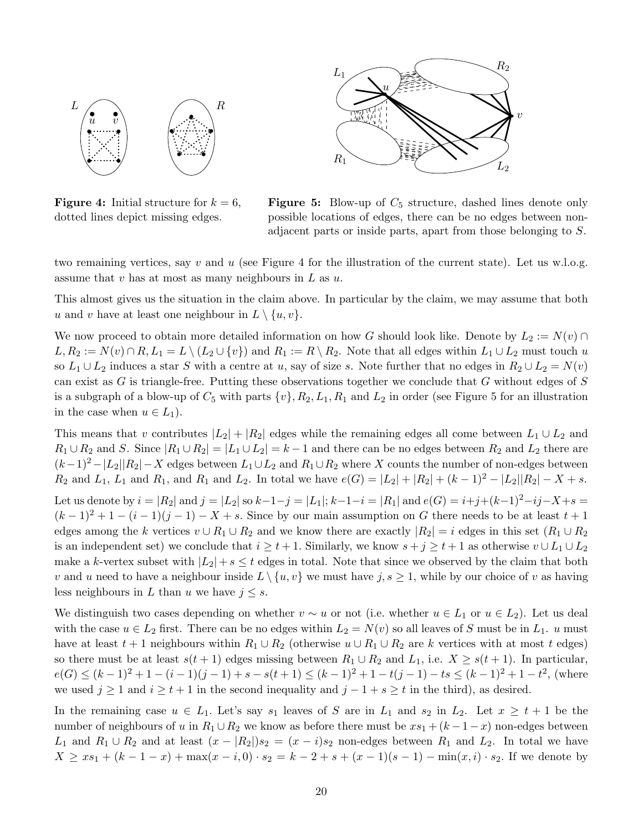<span id="page-19-0"></span>

**Figure 4:** Initial structure for  $k = 6$ , dotted lines depict missing edges.



**Figure 5:** Blow-up of  $C_5$  structure, dashed lines denote only possible locations of edges, there can be no edges between nonadjacent parts or inside parts, apart from those belonging to S.

two remaining vertices, say v and u (see Figure [4](#page-0-0) for the illustration of the current state). Let us w.l.o.g. assume that v has at most as many neighbours in  $L$  as  $u$ .

This almost gives us the situation in the claim above. In particular by the claim, we may assume that both u and v have at least one neighbour in  $L \setminus \{u, v\}.$ 

We now proceed to obtain more detailed information on how G should look like. Denote by  $L_2 := N(v) \cap$  $L, R_2 := N(v) \cap R, L_1 = L \setminus (L_2 \cup \{v\})$  and  $R_1 := R \setminus R_2$ . Note that all edges within  $L_1 \cup L_2$  must touch u so  $L_1 \cup L_2$  induces a star S with a centre at u, say of size s. Note further that no edges in  $R_2 \cup L_2 = N(v)$ can exist as  $G$  is triangle-free. Putting these observations together we conclude that  $G$  without edges of  $S$ is a subgraph of a blow-up of  $C_5$  with parts  $\{v\}, R_2, L_1, R_1$  and  $L_2$  in order (see Figure [5](#page-19-0) for an illustration in the case when  $u \in L_1$ ).

This means that v contributes  $|L_2| + |R_2|$  edges while the remaining edges all come between  $L_1 \cup L_2$  and  $R_1 \cup R_2$  and S. Since  $|R_1 \cup R_2| = |L_1 \cup L_2| = k-1$  and there can be no edges between  $R_2$  and  $L_2$  there are  $(k-1)^2-|L_2||R_2|-X$  edges between  $L_1\cup L_2$  and  $R_1\cup R_2$  where X counts the number of non-edges between  $R_2$  and  $L_1$ ,  $L_1$  and  $R_1$ , and  $R_1$  and  $L_2$ . In total we have  $e(G) = |L_2| + |R_2| + (k-1)^2 - |L_2||R_2| - X + s$ . Let us denote by  $i = |R_2|$  and  $j = |L_2|$  so  $k-1-j = |L_1|$ ;  $k-1-i = |R_1|$  and  $e(G) = i+j+(k-1)^2-ij-X+s =$  $(k-1)^2 + 1 - (i-1)(j-1) - X + s$ . Since by our main assumption on G there needs to be at least  $t + 1$ edges among the k vertices  $v \cup R_1 \cup R_2$  and we know there are exactly  $|R_2| = i$  edges in this set  $(R_1 \cup R_2)$ is an independent set) we conclude that  $i \geq t+1$ . Similarly, we know  $s + j \geq t+1$  as otherwise  $v \cup L_1 \cup L_2$ make a k-vertex subset with  $|L_2| + s \leq t$  edges in total. Note that since we observed by the claim that both v and u need to have a neighbour inside  $L\setminus\{u, v\}$  we must have  $j, s \geq 1$ , while by our choice of v as having less neighbours in L than u we have  $j \leq s$ .

We distinguish two cases depending on whether  $v \sim u$  or not (i.e. whether  $u \in L_1$  or  $u \in L_2$ ). Let us deal with the case  $u \in L_2$  first. There can be no edges within  $L_2 = N(v)$  so all leaves of S must be in  $L_1$ . u must have at least  $t + 1$  neighbours within  $R_1 \cup R_2$  (otherwise  $u \cup R_1 \cup R_2$  are k vertices with at most t edges) so there must be at least  $s(t + 1)$  edges missing between  $R_1 \cup R_2$  and  $L_1$ , i.e.  $X \geq s(t + 1)$ . In particular,  $e(G) \leq (k-1)^2 + 1 - (i-1)(j-1) + s - s(t+1) \leq (k-1)^2 + 1 - t(j-1) - ts \leq (k-1)^2 + 1 - t^2$ , (where we used  $j \ge 1$  and  $i \ge t + 1$  in the second inequality and  $j - 1 + s \ge t$  in the third), as desired.

In the remaining case  $u \in L_1$ . Let's say  $s_1$  leaves of S are in  $L_1$  and  $s_2$  in  $L_2$ . Let  $x \geq t+1$  be the number of neighbours of u in  $R_1 \cup R_2$  we know as before there must be  $xs_1 + (k-1-x)$  non-edges between  $L_1$  and  $R_1 \cup R_2$  and at least  $(x - |R_2|)s_2 = (x - i)s_2$  non-edges between  $R_1$  and  $L_2$ . In total we have  $X \geq xs_1 + (k-1-x) + \max(x-i,0) \cdot s_2 = k-2+s+(x-1)(s-1) - \min(x,i) \cdot s_2$ . If we denote by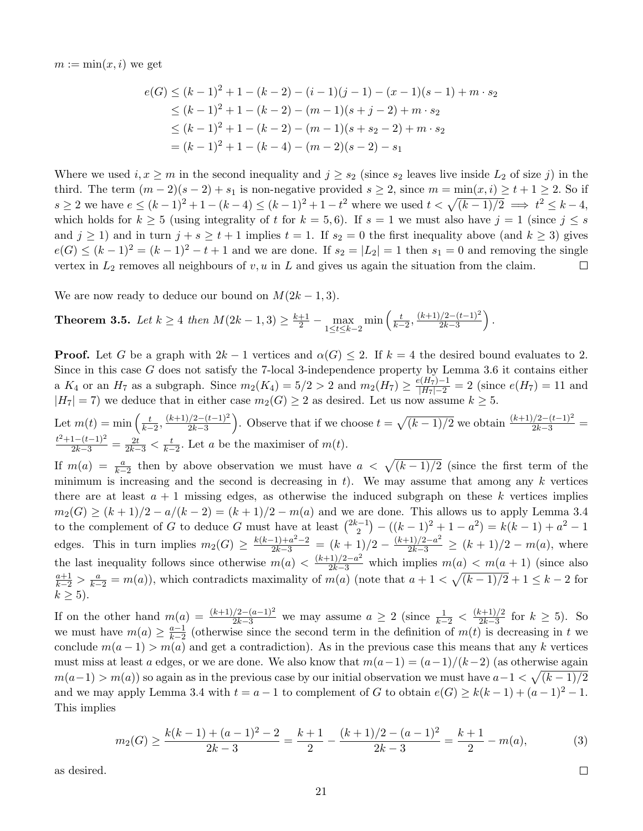$m := \min(x, i)$  we get

$$
e(G) \le (k-1)^2 + 1 - (k-2) - (i-1)(j-1) - (x-1)(s-1) + m \cdot s_2
$$
  
\n
$$
\le (k-1)^2 + 1 - (k-2) - (m-1)(s+j-2) + m \cdot s_2
$$
  
\n
$$
\le (k-1)^2 + 1 - (k-2) - (m-1)(s+s_2-2) + m \cdot s_2
$$
  
\n
$$
= (k-1)^2 + 1 - (k-4) - (m-2)(s-2) - s_1
$$

Where we used  $i, x \geq m$  in the second inequality and  $j \geq s_2$  (since  $s_2$  leaves live inside  $L_2$  of size j) in the third. The term  $(m-2)(s-2)+s_1$  is non-negative provided  $s \geq 2$ , since  $m = \min(x, i) \geq t + 1 \geq 2$ . So if  $s \ge 2$  we have  $e \le (k-1)^2 + 1 - (k-4) \le (k-1)^2 + 1 - t^2$  where we used  $t < \sqrt{(k-1)/2} \implies t^2 \le k-4$ , which holds for  $k \geq 5$  (using integrality of t for  $k = 5, 6$ ). If  $s = 1$  we must also have  $j = 1$  (since  $j \leq s$ and  $j \ge 1$ ) and in turn  $j + s \ge t + 1$  implies  $t = 1$ . If  $s_2 = 0$  the first inequality above (and  $k \ge 3$ ) gives  $e(G) \leq (k-1)^2 = (k-1)^2 - t + 1$  and we are done. If  $s_2 = |L_2| = 1$  then  $s_1 = 0$  and removing the single vertex in  $L_2$  removes all neighbours of v, u in L and gives us again the situation from the claim.  $\Box$ 

We are now ready to deduce our bound on  $M(2k-1,3)$ .

<span id="page-20-0"></span>**Theorem 3.5.** Let 
$$
k \ge 4
$$
 then  $M(2k-1,3) \ge \frac{k+1}{2} - \max_{1 \le t \le k-2} \min\left(\frac{t}{k-2}, \frac{(k+1)/2 - (t-1)^2}{2k-3}\right)$ .

**Proof.** Let G be a graph with  $2k - 1$  vertices and  $\alpha(G) \leq 2$ . If  $k = 4$  the desired bound evaluates to 2. Since in this case G does not satisfy the 7-local 3-independence property by Lemma [3.6](#page-21-0) it contains either a  $K_4$  or an  $H_7$  as a subgraph. Since  $m_2(K_4) = 5/2 > 2$  and  $m_2(H_7) \ge \frac{e(H_7)-1}{|H_7|-2} = 2$  (since  $e(H_7) = 11$  and  $|H_7| = 7$ ) we deduce that in either case  $m_2(G) \geq 2$  as desired. Let us now assume  $k \geq 5$ .

Let  $m(t) = \min\left(\frac{t}{k-2}, \frac{(k+1)/2 - (t-1)^2}{2k-3}\right)$  $\frac{(2-(t-1)^2}{2k-3}$ . Observe that if we choose  $t = \sqrt{(k-1)/2}$  we obtain  $\frac{(k+1)/2-(t-1)^2}{2k-3}$  $\frac{t^2+1-(t-1)^2}{2k-3} = \frac{2t}{2k-3} < \frac{t}{k-2}$ . Let a be the maximiser of  $m(t)$ .

If  $m(a) = \frac{a}{k-2}$  then by above observation we must have  $a < \sqrt{(k-1)/2}$  (since the first term of the minimum is increasing and the second is decreasing in t). We may assume that among any  $k$  vertices there are at least  $a + 1$  missing edges, as otherwise the induced subgraph on these k vertices implies  $m_2(G) \ge (k+1)/2 - a/(k-2) = (k+1)/2 - m(a)$  and we are done. This allows us to apply Lemma [3.4](#page-18-0) to the complement of G to deduce G must have at least  $\binom{2k-1}{2}$  $\binom{n-1}{2} - ((k-1)^2 + 1 - a^2) = k(k-1) + a^2 - 1$ edges. This in turn implies  $m_2(G) \ge \frac{k(k-1)+a^2-2}{2k-3} = (k+1)/2 - \frac{(k+1)/2-a^2}{2k-3} \ge (k+1)/2 - m(a)$ , where the last inequality follows since otherwise  $m(a) < \frac{(k+1)/2-a^2}{2k-3}$  which implies  $m(a) < m(a+1)$  (since also  $\frac{a+1}{k-2} > \frac{a}{k-2} = m(a)$ , which contradicts maximality of  $m(a)$  (note that  $a+1 < \sqrt{(k-1)/2} + 1 \le k-2$  for  $k \geq 5$ ).

If on the other hand  $m(a) = \frac{(k+1)/2 - (a-1)^2}{2k-3}$  we may assume  $a \geq 2$  (since  $\frac{1}{k-2} < \frac{(k+1)/2}{2k-3}$  $\frac{(k+1)/2}{2k-3}$  for  $k \ge 5$ ). So we must have  $m(a) \geq \frac{a-1}{b-2}$  $\frac{a-1}{k-2}$  (otherwise since the second term in the definition of  $m(t)$  is decreasing in t we conclude  $m(a-1) > m(a)$  and get a contradiction). As in the previous case this means that any k vertices must miss at least a edges, or we are done. We also know that  $m(a-1) = (a-1)/(k-2)$  (as otherwise again  $m(a-1) > m(a)$  so again as in the previous case by our initial observation we must have  $a-1 < \sqrt{(k-1)/2}$ and we may apply Lemma [3.4](#page-18-0) with  $t = a - 1$  to complement of G to obtain  $e(G) \ge k(k-1) + (a-1)^2 - 1$ . This implies

$$
m_2(G) \ge \frac{k(k-1) + (a-1)^2 - 2}{2k - 3} = \frac{k+1}{2} - \frac{(k+1)/2 - (a-1)^2}{2k - 3} = \frac{k+1}{2} - m(a),\tag{3}
$$

as desired.

 $\Box$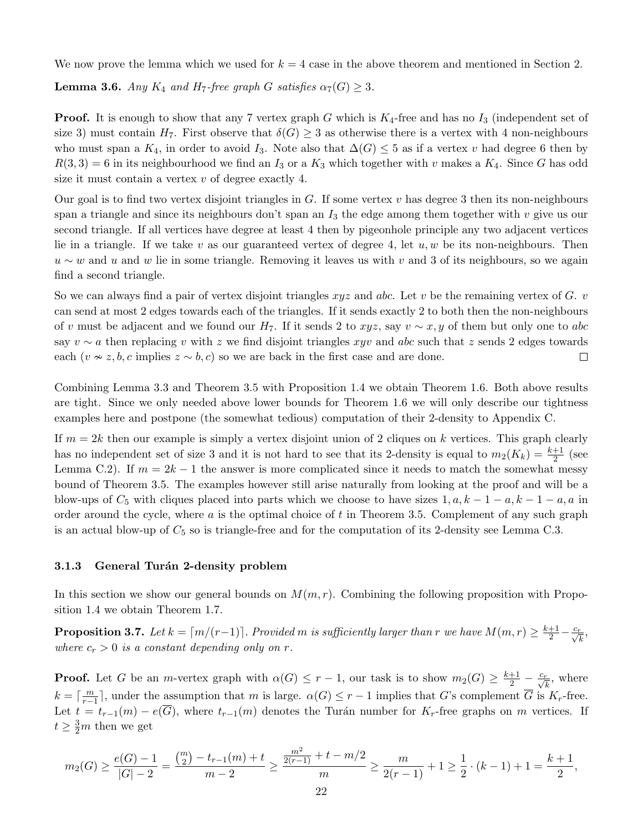<span id="page-21-0"></span>We now prove the lemma which we used for  $k = 4$  case in the above theorem and mentioned in Section [2.](#page-4-0)

**Lemma 3.6.** Any  $K_4$  and  $H_7$ -free graph G satisfies  $\alpha_7(G) \geq 3$ .

**Proof.** It is enough to show that any 7 vertex graph G which is  $K_4$ -free and has no  $I_3$  (independent set of size 3) must contain  $H_7$ . First observe that  $\delta(G) \geq 3$  as otherwise there is a vertex with 4 non-neighbours who must span a  $K_4$ , in order to avoid  $I_3$ . Note also that  $\Delta(G) \leq 5$  as if a vertex v had degree 6 then by  $R(3,3) = 6$  in its neighbourhood we find an  $I_3$  or a  $K_3$  which together with v makes a  $K_4$ . Since G has odd size it must contain a vertex  $v$  of degree exactly 4.

Our goal is to find two vertex disjoint triangles in G. If some vertex  $v$  has degree 3 then its non-neighbours span a triangle and since its neighbours don't span an  $I_3$  the edge among them together with v give us our second triangle. If all vertices have degree at least 4 then by pigeonhole principle any two adjacent vertices lie in a triangle. If we take v as our guaranteed vertex of degree 4, let  $u, w$  be its non-neighbours. Then  $u \sim w$  and u and w lie in some triangle. Removing it leaves us with v and 3 of its neighbours, so we again find a second triangle.

So we can always find a pair of vertex disjoint triangles  $xyz$  and abc. Let v be the remaining vertex of G. v can send at most 2 edges towards each of the triangles. If it sends exactly 2 to both then the non-neighbours of v must be adjacent and we found our H<sub>7</sub>. If it sends 2 to xyz, say  $v \sim x, y$  of them but only one to abc say  $v \sim a$  then replacing v with z we find disjoint triangles xyv and abc such that z sends 2 edges towards each ( $v \approx z, b, c$  implies  $z \sim b, c$ ) so we are back in the first case and are done.  $\Box$ 

Combining Lemma [3.3](#page-18-1) and Theorem [3.5](#page-20-0) with Proposition [1.4](#page-2-0) we obtain Theorem [1.6.](#page-3-0) Both above results are tight. Since we only needed above lower bounds for Theorem [1.6](#page-3-0) we will only describe our tightness examples here and postpone (the somewhat tedious) computation of their 2-density to Appendix [C.](#page-30-0)

If  $m = 2k$  then our example is simply a vertex disjoint union of 2 cliques on k vertices. This graph clearly has no independent set of size 3 and it is not hard to see that its 2-density is equal to  $m_2(K_k) = \frac{k+1}{2}$  (see Lemma [C.2\)](#page-30-1). If  $m = 2k - 1$  the answer is more complicated since it needs to match the somewhat messy bound of Theorem [3.5.](#page-20-0) The examples however still arise naturally from looking at the proof and will be a blow-ups of  $C_5$  with cliques placed into parts which we choose to have sizes  $1, a, k - 1 - a, k - 1 - a, a$  in order around the cycle, where  $a$  is the optimal choice of  $t$  in Theorem [3.5.](#page-20-0) Complement of any such graph is an actual blow-up of  $C_5$  so is triangle-free and for the computation of its 2-density see Lemma [C.3.](#page-31-0)

### 3.1.3 General Turán 2-density problem

In this section we show our general bounds on  $M(m, r)$ . Combining the following proposition with Proposition [1.4](#page-2-0) we obtain Theorem [1.7.](#page-3-1)

**Proposition 3.7.** Let  $k = \lceil m/(r-1) \rceil$ . Provided m is sufficiently larger than r we have  $M(m,r) \geq \frac{k+1}{2} - \frac{c_r}{\sqrt{k}}$ , where  $c_r > 0$  is a constant depending only on r.

**Proof.** Let G be an m-vertex graph with  $\alpha(G) \leq r-1$ , our task is to show  $m_2(G) \geq \frac{k+1}{2} - \frac{c_r}{\sqrt{k}}$ , where  $k = \lceil \frac{m}{r-1} \rceil$ , under the assumption that m is large.  $\alpha(G) \leq r-1$  implies that G's complement  $\overline{G}$  is  $K_r$ -free. Let  $t = t_{r-1}(m) - e(\overline{G})$ , where  $t_{r-1}(m)$  denotes the Turán number for K<sub>r</sub>-free graphs on m vertices. If  $t \geq \frac{3}{2}m$  then we get

$$
m_2(G) \ge \frac{e(G)-1}{|G|-2} = \frac{\binom{m}{2}-t_{r-1}(m)+t}{m-2} \ge \frac{\frac{m^2}{2(r-1)}+t-m/2}{m} \ge \frac{m}{2(r-1)}+1 \ge \frac{1}{2} \cdot (k-1)+1 = \frac{k+1}{2},
$$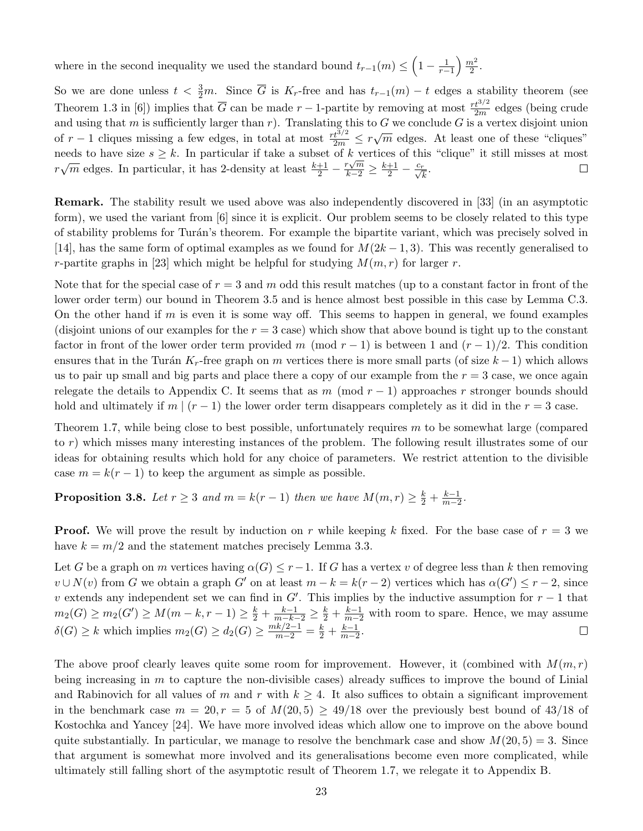where in the second inequality we used the standard bound  $t_{r-1}(m) \leq \left(1 - \frac{1}{r-1}\right) \frac{m^2}{2}$  $\frac{n^2}{2}$ .

So we are done unless  $t < \frac{3}{2}m$ . Since  $\overline{G}$  is  $K_r$ -free and has  $t_{r-1}(m) - t$  edges a stability theorem (see Theorem 1.3 in [\[6\]](#page-24-12)) implies that  $\overline{G}$  can be made  $r-1$ -partite by removing at most  $\frac{rt^{3/2}}{2m}$  edges (being crude and using that m is sufficiently larger than r). Translating this to G we conclude G is a vertex disjoint union of  $r-1$  cliques missing a few edges, in total at most  $\frac{rt^{3/2}}{2m} \leq r\sqrt{m}$  edges. At least one of these "cliques" needs to have size  $s \geq k$ . In particular if take a subset of k vertices of this "clique" it still misses at most meeds to have size  $s \ge \kappa$ . In particular in take a subset of  $\kappa$  vertices of this  $r\sqrt{m}$  edges. In particular, it has 2-density at least  $\frac{k+1}{2} - \frac{r\sqrt{m}}{k-2} \ge \frac{k+1}{2} - \frac{c_r}{\sqrt{k}}$ .

Remark. The stability result we used above was also independently discovered in [\[33\]](#page-25-23) (in an asymptotic form), we used the variant from [\[6\]](#page-24-12) since it is explicit. Our problem seems to be closely related to this type of stability problems for Turán's theorem. For example the bipartite variant, which was precisely solved in [\[14\]](#page-25-16), has the same form of optimal examples as we found for  $M(2k-1,3)$ . This was recently generalised to r-partite graphs in [\[23\]](#page-25-24) which might be helpful for studying  $M(m, r)$  for larger r.

Note that for the special case of  $r = 3$  and m odd this result matches (up to a constant factor in front of the lower order term) our bound in Theorem [3.5](#page-20-0) and is hence almost best possible in this case by Lemma [C.3.](#page-31-0) On the other hand if  $m$  is even it is some way off. This seems to happen in general, we found examples (disjoint unions of our examples for the  $r = 3$  case) which show that above bound is tight up to the constant factor in front of the lower order term provided m (mod  $r - 1$ ) is between 1 and  $(r - 1)/2$ . This condition ensures that in the Turán K<sub>r</sub>-free graph on m vertices there is more small parts (of size  $k-1$ ) which allows us to pair up small and big parts and place there a copy of our example from the  $r = 3$  case, we once again relegate the details to Appendix [C.](#page-30-0) It seems that as m (mod  $r-1$ ) approaches r stronger bounds should hold and ultimately if  $m \mid (r-1)$  the lower order term disappears completely as it did in the  $r = 3$  case.

Theorem [1.7,](#page-3-1) while being close to best possible, unfortunately requires  $m$  to be somewhat large (compared to r) which misses many interesting instances of the problem. The following result illustrates some of our ideas for obtaining results which hold for any choice of parameters. We restrict attention to the divisible case  $m = k(r - 1)$  to keep the argument as simple as possible.

#### **Proposition 3.8.** Let  $r \geq 3$  and  $m = k(r-1)$  then we have  $M(m,r) \geq \frac{k}{2} + \frac{k-1}{m-2}$  $rac{k-1}{m-2}$ .

**Proof.** We will prove the result by induction on r while keeping k fixed. For the base case of  $r = 3$  we have  $k = m/2$  and the statement matches precisely Lemma [3.3.](#page-18-1)

Let G be a graph on m vertices having  $\alpha(G) \leq r-1$ . If G has a vertex v of degree less than k then removing  $v \cup N(v)$  from G we obtain a graph G' on at least  $m - k = k(r - 2)$  vertices which has  $\alpha(G') \leq r - 2$ , since v extends any independent set we can find in  $G'$ . This implies by the inductive assumption for  $r-1$  that  $m_2(G) \geq m_2(G') \geq M(m-k, r-1) \geq \frac{k}{2} + \frac{k-1}{m-k-2} \geq \frac{k}{2} + \frac{k-1}{m-2}$  with room to spare. Hence, we may assume  $\delta(G) \ge k$  which implies  $m_2(G) \ge d_2(G) \ge \frac{mk/2-1}{m-2} = \frac{k}{2} + \frac{k-1}{m-2}$  $\frac{k-1}{m-2}$ .

The above proof clearly leaves quite some room for improvement. However, it (combined with  $M(m, r)$ ) being increasing in m to capture the non-divisible cases) already suffices to improve the bound of Linial and Rabinovich for all values of m and r with  $k \geq 4$ . It also suffices to obtain a significant improvement in the benchmark case  $m = 20, r = 5$  of  $M(20, 5) \ge 49/18$  over the previously best bound of 43/18 of Kostochka and Yancey [\[24\]](#page-25-11). We have more involved ideas which allow one to improve on the above bound quite substantially. In particular, we manage to resolve the benchmark case and show  $M(20, 5) = 3$ . Since that argument is somewhat more involved and its generalisations become even more complicated, while ultimately still falling short of the asymptotic result of Theorem [1.7,](#page-3-1) we relegate it to Appendix [B.](#page-27-0)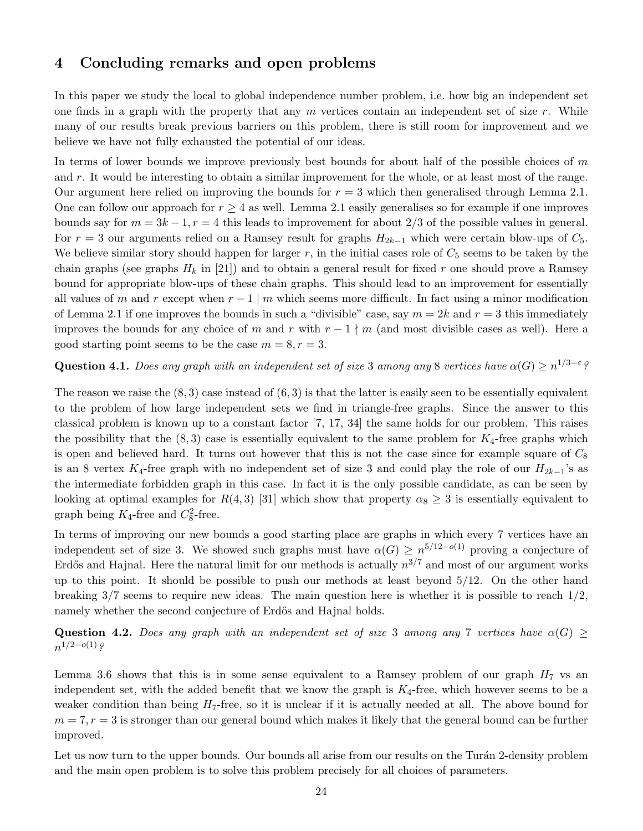# 4 Concluding remarks and open problems

In this paper we study the local to global independence number problem, i.e. how big an independent set one finds in a graph with the property that any  $m$  vertices contain an independent set of size  $r$ . While many of our results break previous barriers on this problem, there is still room for improvement and we believe we have not fully exhausted the potential of our ideas.

In terms of lower bounds we improve previously best bounds for about half of the possible choices of  $m$ and r. It would be interesting to obtain a similar improvement for the whole, or at least most of the range. Our argument here relied on improving the bounds for  $r = 3$  which then generalised through Lemma [2.1.](#page-4-1) One can follow our approach for  $r \geq 4$  as well. Lemma [2.1](#page-4-1) easily generalises so for example if one improves bounds say for  $m = 3k - 1$ ,  $r = 4$  this leads to improvement for about 2/3 of the possible values in general. For  $r = 3$  our arguments relied on a Ramsey result for graphs  $H_{2k-1}$  which were certain blow-ups of  $C_5$ . We believe similar story should happen for larger  $r$ , in the initial cases role of  $C_5$  seems to be taken by the chain graphs (see graphs  $H_k$  in [\[21\]](#page-25-15)) and to obtain a general result for fixed r one should prove a Ramsey bound for appropriate blow-ups of these chain graphs. This should lead to an improvement for essentially all values of m and r except when  $r - 1 \mid m$  which seems more difficult. In fact using a minor modification of Lemma [2.1](#page-4-1) if one improves the bounds in such a "divisible" case, say  $m = 2k$  and  $r = 3$  this immediately improves the bounds for any choice of m and r with  $r - 1 \nmid m$  (and most divisible cases as well). Here a good starting point seems to be the case  $m = 8, r = 3$ .

### **Question 4.1.** Does any graph with an independent set of size 3 among any 8 vertices have  $\alpha(G) \ge n^{1/3+\varepsilon}$ ?

The reason we raise the  $(8,3)$  case instead of  $(6,3)$  is that the latter is easily seen to be essentially equivalent to the problem of how large independent sets we find in triangle-free graphs. Since the answer to this classical problem is known up to a constant factor [\[7,](#page-24-8) [17,](#page-25-17) [34\]](#page-25-13) the same holds for our problem. This raises the possibility that the  $(8, 3)$  case is essentially equivalent to the same problem for  $K_4$ -free graphs which is open and believed hard. It turns out however that this is not the case since for example square of  $C_8$ is an 8 vertex K<sub>4</sub>-free graph with no independent set of size 3 and could play the role of our  $H_{2k-1}$ 's as the intermediate forbidden graph in this case. In fact it is the only possible candidate, as can be seen by looking at optimal examples for  $R(4,3)$  [\[31\]](#page-25-25) which show that property  $\alpha_8 \geq 3$  is essentially equivalent to graph being  $K_4$ -free and  $C_8^2$ -free.

In terms of improving our new bounds a good starting place are graphs in which every 7 vertices have an independent set of size 3. We showed such graphs must have  $\alpha(G) \geq n^{5/12-o(1)}$  proving a conjecture of Erdős and Hajnal. Here the natural limit for our methods is actually  $n^{3/7}$  and most of our argument works up to this point. It should be possible to push our methods at least beyond 5/12. On the other hand breaking  $3/7$  seems to require new ideas. The main question here is whether it is possible to reach  $1/2$ , namely whether the second conjecture of Erdős and Hajnal holds.

Question 4.2. Does any graph with an independent set of size 3 among any 7 vertices have  $\alpha(G)$  $n^{1/2-o(1)}$ ?

Lemma [3.6](#page-21-0) shows that this is in some sense equivalent to a Ramsey problem of our graph  $H_7$  vs an independent set, with the added benefit that we know the graph is  $K_4$ -free, which however seems to be a weaker condition than being  $H_7$ -free, so it is unclear if it is actually needed at all. The above bound for  $m = 7, r = 3$  is stronger than our general bound which makes it likely that the general bound can be further improved.

Let us now turn to the upper bounds. Our bounds all arise from our results on the Turán 2-density problem and the main open problem is to solve this problem precisely for all choices of parameters.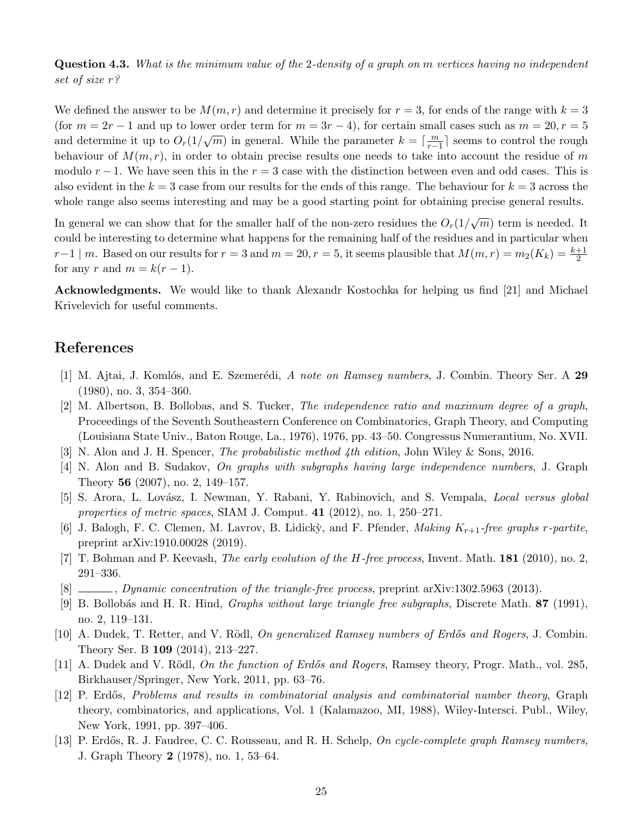Question 4.3. What is the minimum value of the 2-density of a graph on m vertices having no independent set of size r?

We defined the answer to be  $M(m, r)$  and determine it precisely for  $r = 3$ , for ends of the range with  $k = 3$ (for  $m = 2r - 1$  and up to lower order term for  $m = 3r - 4$ ), for certain small cases such as  $m = 20, r = 5$ and determine it up to  $O_r(1/\sqrt{m})$  in general. While the parameter  $k = \lceil \frac{m}{r-1} \rceil$  seems to control the rough behaviour of  $M(m, r)$ , in order to obtain precise results one needs to take into account the residue of m modulo  $r - 1$ . We have seen this in the  $r = 3$  case with the distinction between even and odd cases. This is also evident in the  $k = 3$  case from our results for the ends of this range. The behaviour for  $k = 3$  across the whole range also seems interesting and may be a good starting point for obtaining precise general results.

In general we can show that for the smaller half of the non-zero residues the  $O_r(1/\sqrt{m})$  term is needed. It could be interesting to determine what happens for the remaining half of the residues and in particular when  $r-1 \mid m.$  Based on our results for  $r = 3$  and  $m = 20, r = 5$ , it seems plausible that  $M(m,r) = m_2(K_k) = \frac{k+1}{2}$ for any r and  $m = k(r - 1)$ .

Acknowledgments. We would like to thank Alexandr Kostochka for helping us find [\[21\]](#page-25-15) and Michael Krivelevich for useful comments.

# References

- <span id="page-24-6"></span>[1] M. Ajtai, J. Komlós, and E. Szemerédi, A note on Ramsey numbers, J. Combin. Theory Ser. A 29 (1980), no. 3, 354–360.
- <span id="page-24-7"></span>[2] M. Albertson, B. Bollobas, and S. Tucker, The independence ratio and maximum degree of a graph, Proceedings of the Seventh Southeastern Conference on Combinatorics, Graph Theory, and Computing (Louisiana State Univ., Baton Rouge, La., 1976), 1976, pp. 43–50. Congressus Numerantium, No. XVII.
- <span id="page-24-11"></span>[3] N. Alon and J. H. Spencer, The probabilistic method 4th edition, John Wiley & Sons, 2016.
- <span id="page-24-5"></span>[4] N. Alon and B. Sudakov, On graphs with subgraphs having large independence numbers, J. Graph Theory 56 (2007), no. 2, 149–157.
- <span id="page-24-4"></span>[5] S. Arora, L. Lovász, I. Newman, Y. Rabani, Y. Rabinovich, and S. Vempala, *Local versus global* properties of metric spaces, SIAM J. Comput. 41 (2012), no. 1, 250–271.
- <span id="page-24-12"></span>[6] J. Balogh, F. C. Clemen, M. Lavrov, B. Lidicky, and F. Pfender, *Making K<sub>r+1</sub>-free graphs r-partite*, preprint arXiv:1910.00028 (2019).
- <span id="page-24-8"></span>[7] T. Bohman and P. Keevash, *The early evolution of the H-free process*, Invent. Math.  $181$  (2010), no. 2, 291–336.
- <span id="page-24-9"></span>[8] , Dynamic concentration of the triangle-free process, preprint arXiv:1302.5963 (2013).
- <span id="page-24-0"></span>[9] B. Bollob´as and H. R. Hind, Graphs without large triangle free subgraphs, Discrete Math. 87 (1991), no. 2, 119–131.
- <span id="page-24-1"></span>[10] A. Dudek, T. Retter, and V. Rödl, On generalized Ramsey numbers of Erdős and Rogers, J. Combin. Theory Ser. B 109 (2014), 213–227.
- <span id="page-24-2"></span>[11] A. Dudek and V. Rödl, On the function of Erdős and Rogers, Ramsey theory, Progr. Math., vol. 285, Birkhauser/Springer, New York, 2011, pp. 63–76.
- <span id="page-24-3"></span>[12] P. Erdős, *Problems and results in combinatorial analysis and combinatorial number theory*, Graph theory, combinatorics, and applications, Vol. 1 (Kalamazoo, MI, 1988), Wiley-Intersci. Publ., Wiley, New York, 1991, pp. 397–406.
- <span id="page-24-10"></span>[13] P. Erdős, R. J. Faudree, C. C. Rousseau, and R. H. Schelp, On cycle-complete graph Ramsey numbers, J. Graph Theory 2 (1978), no. 1, 53–64.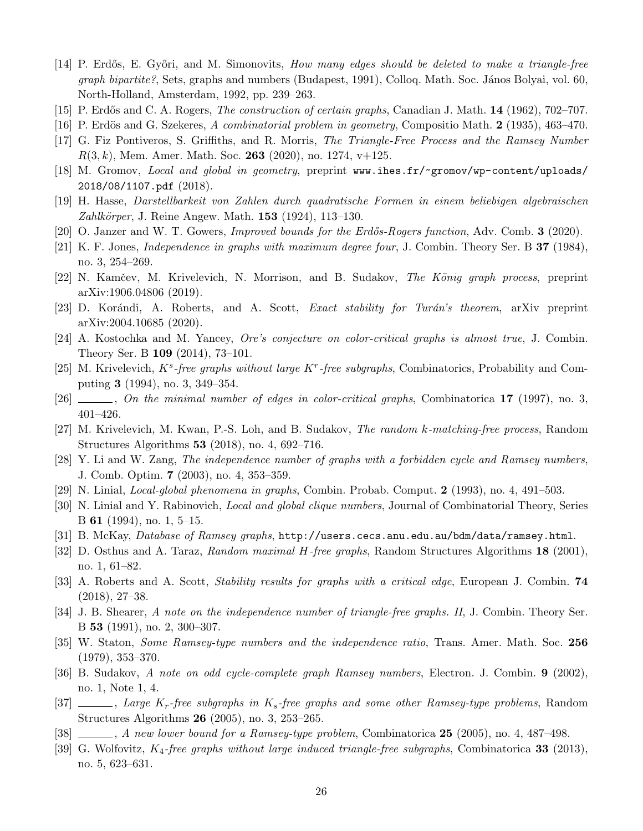- <span id="page-25-16"></span>[14] P. Erdős, E. Győri, and M. Simonovits, *How many edges should be deleted to make a triangle-free*  $graph\ bipartite$ ?, Sets, graphs and numbers (Budapest, 1991), Colloq. Math. Soc. János Bolyai, vol. 60, North-Holland, Amsterdam, 1992, pp. 239–263.
- <span id="page-25-0"></span>[15] P. Erdős and C. A. Rogers, *The construction of certain graphs*, Canadian J. Math. **14** (1962), 702–707.
- <span id="page-25-12"></span>[16] P. Erdös and G. Szekeres, A combinatorial problem in geometry, Compositio Math. 2 (1935), 463–470.
- <span id="page-25-17"></span>[17] G. Fiz Pontiveros, S. Griffiths, and R. Morris, The Triangle-Free Process and the Ramsey Number  $R(3, k)$ , Mem. Amer. Math. Soc. 263 (2020), no. 1274, v+125.
- <span id="page-25-7"></span>[18] M. Gromov, Local and global in geometry, preprint [www.ihes.fr/~gromov/wp-content/uploads/](www.ihes.fr/~gromov/wp-content/uploads/2018/08/1107.pdf) [2018/08/1107.pdf](www.ihes.fr/~gromov/wp-content/uploads/2018/08/1107.pdf) (2018).
- <span id="page-25-8"></span>[19] H. Hasse, Darstellbarkeit von Zahlen durch quadratische Formen in einem beliebigen algebraischen *Zahlkörper*, J. Reine Angew. Math.  $153$  (1924), 113–130.
- <span id="page-25-1"></span>[20] O. Janzer and W. T. Gowers, *Improved bounds for the Erdős-Rogers function*, Adv. Comb. **3** (2020).
- <span id="page-25-15"></span>[21] K. F. Jones, Independence in graphs with maximum degree four, J. Combin. Theory Ser. B 37 (1984), no. 3, 254–269.
- <span id="page-25-18"></span>[22] N. Kamčev, M. Krivelevich, N. Morrison, and B. Sudakov, The König graph process, preprint arXiv:1906.04806 (2019).
- <span id="page-25-24"></span>[23] D. Korándi, A. Roberts, and A. Scott, *Exact stability for Turán's theorem*, arXiv preprint arXiv:2004.10685 (2020).
- <span id="page-25-11"></span>[24] A. Kostochka and M. Yancey, Ore's conjecture on color-critical graphs is almost true, J. Combin. Theory Ser. B 109 (2014), 73–101.
- <span id="page-25-2"></span>[25] M. Krivelevich,  $K^s$ -free graphs without large  $K^r$ -free subgraphs, Combinatorics, Probability and Computing 3 (1994), no. 3, 349–354.
- <span id="page-25-10"></span> $[26]$  , On the minimal number of edges in color-critical graphs, Combinatorica 17 (1997), no. 3, 401–426.
- <span id="page-25-19"></span>[27] M. Krivelevich, M. Kwan, P.-S. Loh, and B. Sudakov, The random k-matching-free process, Random Structures Algorithms 53 (2018), no. 4, 692–716.
- <span id="page-25-21"></span>[28] Y. Li and W. Zang, The independence number of graphs with a forbidden cycle and Ramsey numbers, J. Comb. Optim. 7 (2003), no. 4, 353–359.
- <span id="page-25-9"></span>[29] N. Linial, Local-global phenomena in graphs, Combin. Probab. Comput. 2 (1993), no. 4, 491–503.
- <span id="page-25-6"></span>[30] N. Linial and Y. Rabinovich, Local and global clique numbers, Journal of Combinatorial Theory, Series B 61 (1994), no. 1, 5–15.
- <span id="page-25-25"></span><span id="page-25-20"></span>[31] B. McKay, Database of Ramsey graphs, <http://users.cecs.anu.edu.au/bdm/data/ramsey.html>.
- [32] D. Osthus and A. Taraz, Random maximal H-free graphs, Random Structures Algorithms 18 (2001), no. 1, 61–82.
- <span id="page-25-23"></span>[33] A. Roberts and A. Scott, Stability results for graphs with a critical edge, European J. Combin. 74 (2018), 27–38.
- <span id="page-25-13"></span>[34] J. B. Shearer, A note on the independence number of triangle-free graphs. II, J. Combin. Theory Ser. B 53 (1991), no. 2, 300–307.
- <span id="page-25-14"></span>[35] W. Staton, Some Ramsey-type numbers and the independence ratio, Trans. Amer. Math. Soc. 256 (1979), 353–370.
- <span id="page-25-22"></span>[36] B. Sudakov, A note on odd cycle-complete graph Ramsey numbers, Electron. J. Combin. 9 (2002), no. 1, Note 1, 4.
- <span id="page-25-3"></span>[37]  $\ldots$ , Large K<sub>r</sub>-free subgraphs in K<sub>s</sub>-free graphs and some other Ramsey-type problems, Random Structures Algorithms 26 (2005), no. 3, 253–265.
- <span id="page-25-4"></span>[38]  $\ldots$ , A new lower bound for a Ramsey-type problem, Combinatorica 25 (2005), no. 4, 487–498.
- <span id="page-25-5"></span>[39] G. Wolfovitz,  $K_4$ -free graphs without large induced triangle-free subgraphs, Combinatorica 33 (2013), no. 5, 623–631.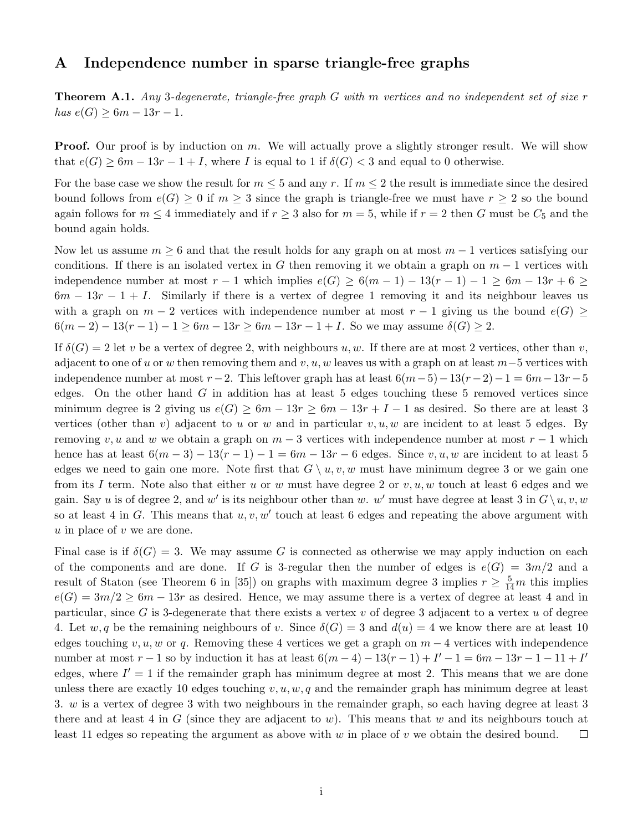# <span id="page-26-0"></span>A Independence number in sparse triangle-free graphs

**Theorem A.1.** Any 3-degenerate, triangle-free graph  $G$  with m vertices and no independent set of size  $r$  $has e(G)$  ≥ 6m – 13r – 1.

**Proof.** Our proof is by induction on m. We will actually prove a slightly stronger result. We will show that  $e(G) \geq 6m - 13r - 1 + I$ , where I is equal to 1 if  $\delta(G) < 3$  and equal to 0 otherwise.

For the base case we show the result for  $m \leq 5$  and any r. If  $m \leq 2$  the result is immediate since the desired bound follows from  $e(G) \geq 0$  if  $m \geq 3$  since the graph is triangle-free we must have  $r \geq 2$  so the bound again follows for  $m \leq 4$  immediately and if  $r \geq 3$  also for  $m = 5$ , while if  $r = 2$  then G must be  $C_5$  and the bound again holds.

Now let us assume  $m \geq 6$  and that the result holds for any graph on at most  $m-1$  vertices satisfying our conditions. If there is an isolated vertex in G then removing it we obtain a graph on  $m-1$  vertices with independence number at most  $r-1$  which implies  $e(G) \geq 6(m-1) - 13(r-1) - 1 \geq 6m - 13r + 6 \geq$  $6m - 13r - 1 + I$ . Similarly if there is a vertex of degree 1 removing it and its neighbour leaves us with a graph on  $m-2$  vertices with independence number at most  $r-1$  giving us the bound  $e(G) \geq$  $6(m-2) - 13(r-1) - 1 \geq 6m - 13r \geq 6m - 13r - 1 + I$ . So we may assume  $\delta(G) \geq 2$ .

If  $\delta(G) = 2$  let v be a vertex of degree 2, with neighbours u, w. If there are at most 2 vertices, other than v, adjacent to one of u or w then removing them and v, u, w leaves us with a graph on at least  $m-5$  vertices with independence number at most  $r-2$ . This leftover graph has at least  $6(m-5)-13(r-2)-1=6m-13r-5$ edges. On the other hand  $G$  in addition has at least 5 edges touching these 5 removed vertices since minimum degree is 2 giving us  $e(G) \geq 6m - 13r \geq 6m - 13r + I - 1$  as desired. So there are at least 3 vertices (other than v) adjacent to u or w and in particular  $v, u, w$  are incident to at least 5 edges. By removing v, u and w we obtain a graph on  $m-3$  vertices with independence number at most  $r-1$  which hence has at least  $6(m-3) - 13(r-1) - 1 = 6m - 13r - 6$  edges. Since  $v, u, w$  are incident to at least 5 edges we need to gain one more. Note first that  $G \setminus u, v, w$  must have minimum degree 3 or we gain one from its I term. Note also that either u or w must have degree 2 or  $v, u, w$  touch at least 6 edges and we gain. Say u is of degree 2, and w' is its neighbour other than w. w' must have degree at least 3 in  $G\setminus u, v, w$ so at least 4 in G. This means that  $u, v, w'$  touch at least 6 edges and repeating the above argument with  $u$  in place of  $v$  we are done.

Final case is if  $\delta(G) = 3$ . We may assume G is connected as otherwise we may apply induction on each of the components and are done. If G is 3-regular then the number of edges is  $e(G) = 3m/2$  and a result of Staton (see Theorem 6 in [\[35\]](#page-25-14)) on graphs with maximum degree 3 implies  $r \geq \frac{5}{14}m$  this implies  $e(G) = 3m/2 \geq 6m - 13r$  as desired. Hence, we may assume there is a vertex of degree at least 4 and in particular, since G is 3-degenerate that there exists a vertex v of degree 3 adjacent to a vertex  $u$  of degree 4. Let  $w, q$  be the remaining neighbours of v. Since  $\delta(G) = 3$  and  $d(u) = 4$  we know there are at least 10 edges touching v, u, w or q. Removing these 4 vertices we get a graph on  $m-4$  vertices with independence number at most  $r - 1$  so by induction it has at least  $6(m - 4) - 13(r - 1) + I' - 1 = 6m - 13r - 1 - 11 + I'$ edges, where  $I' = 1$  if the remainder graph has minimum degree at most 2. This means that we are done unless there are exactly 10 edges touching  $v, u, w, q$  and the remainder graph has minimum degree at least 3. w is a vertex of degree 3 with two neighbours in the remainder graph, so each having degree at least 3 there and at least 4 in G (since they are adjacent to w). This means that w and its neighbours touch at least 11 edges so repeating the argument as above with  $w$  in place of  $v$  we obtain the desired bound.  $\Box$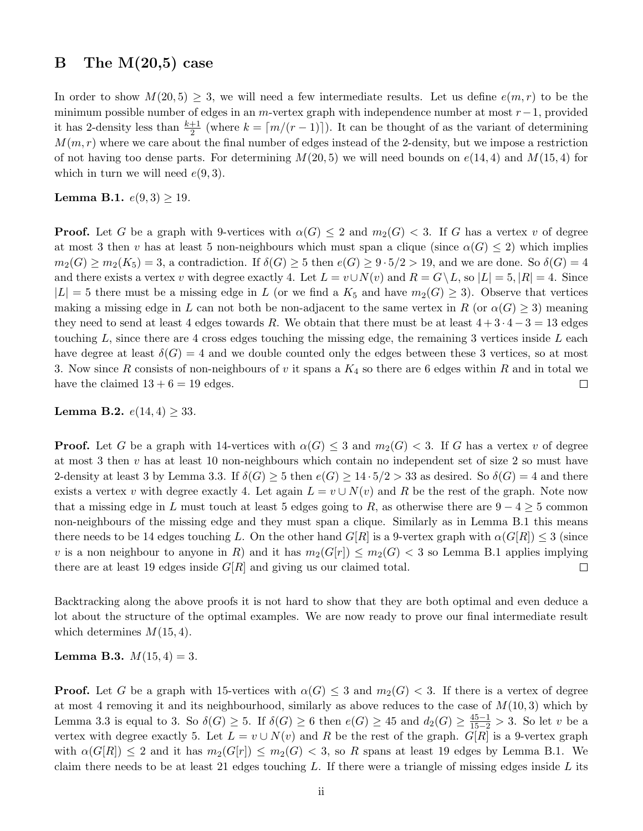# <span id="page-27-0"></span>B The  $M(20,5)$  case

In order to show  $M(20, 5) \geq 3$ , we will need a few intermediate results. Let us define  $e(m, r)$  to be the minimum possible number of edges in an m-vertex graph with independence number at most  $r-1$ , provided it has 2-density less than  $\frac{k+1}{2}$  (where  $k = \lceil m/(r-1) \rceil$ ). It can be thought of as the variant of determining  $M(m, r)$  where we care about the final number of edges instead of the 2-density, but we impose a restriction of not having too dense parts. For determining  $M(20, 5)$  we will need bounds on  $e(14, 4)$  and  $M(15, 4)$  for which in turn we will need  $e(9,3)$ .

<span id="page-27-1"></span>**Lemma B.1.**  $e(9,3) \ge 19$ .

**Proof.** Let G be a graph with 9-vertices with  $\alpha(G) \leq 2$  and  $m_2(G) \leq 3$ . If G has a vertex v of degree at most 3 then v has at least 5 non-neighbours which must span a clique (since  $\alpha(G) \leq 2$ ) which implies  $m_2(G) \geq m_2(K_5) = 3$ , a contradiction. If  $\delta(G) \geq 5$  then  $e(G) \geq 9 \cdot 5/2 > 19$ , and we are done. So  $\delta(G) = 4$ and there exists a vertex v with degree exactly 4. Let  $L = v \cup N(v)$  and  $R = G \setminus L$ , so  $|L| = 5$ ,  $|R| = 4$ . Since  $|L| = 5$  there must be a missing edge in L (or we find a  $K_5$  and have  $m_2(G) \geq 3$ ). Observe that vertices making a missing edge in L can not both be non-adjacent to the same vertex in R (or  $\alpha(G) \geq 3$ ) meaning they need to send at least 4 edges towards R. We obtain that there must be at least  $4+3\cdot4-3=13$  edges touching  $L$ , since there are 4 cross edges touching the missing edge, the remaining 3 vertices inside  $L$  each have degree at least  $\delta(G) = 4$  and we double counted only the edges between these 3 vertices, so at most 3. Now since R consists of non-neighbours of v it spans a  $K_4$  so there are 6 edges within R and in total we have the claimed  $13 + 6 = 19$  edges.  $\Box$ 

<span id="page-27-3"></span>**Lemma B.2.**  $e(14, 4) \geq 33$ .

**Proof.** Let G be a graph with 14-vertices with  $\alpha(G) \leq 3$  and  $m_2(G) < 3$ . If G has a vertex v of degree at most 3 then v has at least 10 non-neighbours which contain no independent set of size 2 so must have 2-density at least 3 by Lemma [3.3.](#page-18-1) If  $\delta(G) \geq 5$  then  $e(G) \geq 14 \cdot 5/2 > 33$  as desired. So  $\delta(G) = 4$  and there exists a vertex v with degree exactly 4. Let again  $L = v \cup N(v)$  and R be the rest of the graph. Note now that a missing edge in L must touch at least 5 edges going to R, as otherwise there are  $9 - 4 \geq 5$  common non-neighbours of the missing edge and they must span a clique. Similarly as in Lemma [B.1](#page-27-1) this means there needs to be 14 edges touching L. On the other hand  $G[R]$  is a 9-vertex graph with  $\alpha(G[R]) \leq 3$  (since v is a non neighbour to anyone in R) and it has  $m_2(G[r]) \leq m_2(G) < 3$  so Lemma [B.1](#page-27-1) applies implying there are at least 19 edges inside  $G[R]$  and giving us our claimed total.  $\Box$ 

Backtracking along the above proofs it is not hard to show that they are both optimal and even deduce a lot about the structure of the optimal examples. We are now ready to prove our final intermediate result which determines  $M(15, 4)$ .

<span id="page-27-2"></span>**Lemma B.3.**  $M(15, 4) = 3$ .

**Proof.** Let G be a graph with 15-vertices with  $\alpha(G) \leq 3$  and  $m_2(G) < 3$ . If there is a vertex of degree at most 4 removing it and its neighbourhood, similarly as above reduces to the case of  $M(10,3)$  which by Lemma [3.3](#page-18-1) is equal to 3. So  $\delta(G) \geq 5$ . If  $\delta(G) \geq 6$  then  $e(G) \geq 45$  and  $d_2(G) \geq \frac{45-1}{15-2} > 3$ . So let v be a vertex with degree exactly 5. Let  $L = v \cup N(v)$  and R be the rest of the graph.  $G[R]$  is a 9-vertex graph with  $\alpha(G[R]) \leq 2$  and it has  $m_2(G[r]) \leq m_2(G) < 3$ , so R spans at least 19 edges by Lemma [B.1.](#page-27-1) We claim there needs to be at least 21 edges touching  $L$ . If there were a triangle of missing edges inside  $L$  its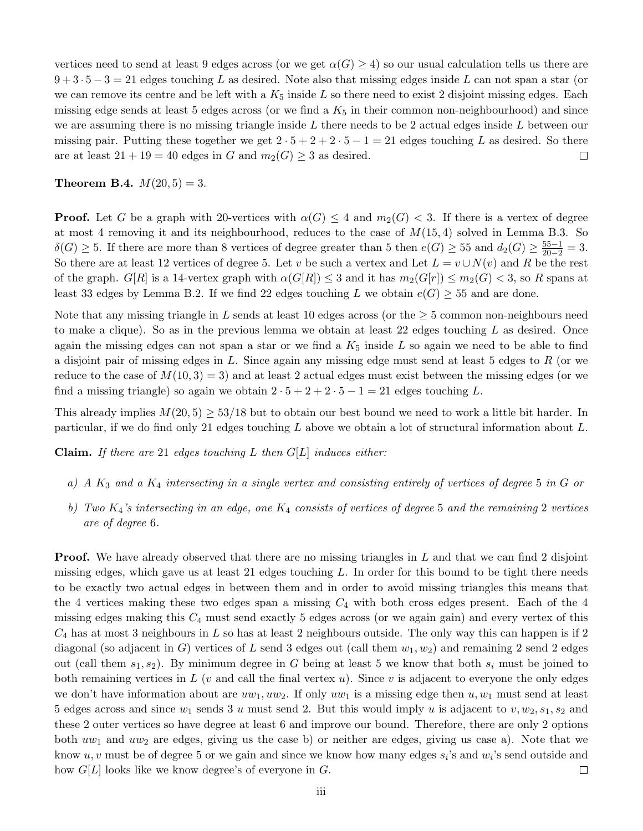vertices need to send at least 9 edges across (or we get  $\alpha(G) \geq 4$ ) so our usual calculation tells us there are  $9 + 3 \cdot 5 - 3 = 21$  edges touching L as desired. Note also that missing edges inside L can not span a star (or we can remove its centre and be left with a  $K_5$  inside L so there need to exist 2 disjoint missing edges. Each missing edge sends at least 5 edges across (or we find a  $K_5$  in their common non-neighbourhood) and since we are assuming there is no missing triangle inside  $L$  there needs to be 2 actual edges inside  $L$  between our missing pair. Putting these together we get  $2 \cdot 5 + 2 + 2 \cdot 5 - 1 = 21$  edges touching L as desired. So there are at least  $21 + 19 = 40$  edges in G and  $m_2(G) \geq 3$  as desired.  $\Box$ 

### **Theorem B.4.**  $M(20, 5) = 3$ .

**Proof.** Let G be a graph with 20-vertices with  $\alpha(G) \leq 4$  and  $m_2(G) < 3$ . If there is a vertex of degree at most 4 removing it and its neighbourhood, reduces to the case of  $M(15,4)$  solved in Lemma [B.3.](#page-27-2) So  $\delta(G) \geq 5$ . If there are more than 8 vertices of degree greater than 5 then  $e(G) \geq 55$  and  $d_2(G) \geq \frac{55-1}{20-2} = 3$ . So there are at least 12 vertices of degree 5. Let v be such a vertex and Let  $L = v \cup N(v)$  and R be the rest of the graph.  $G[R]$  is a 14-vertex graph with  $\alpha(G[R]) \leq 3$  and it has  $m_2(G[r]) \leq m_2(G) < 3$ , so R spans at least 33 edges by Lemma [B.2.](#page-27-3) If we find 22 edges touching L we obtain  $e(G) \geq 55$  and are done.

Note that any missing triangle in L sends at least 10 edges across (or the  $\geq$  5 common non-neighbours need to make a clique). So as in the previous lemma we obtain at least 22 edges touching  $L$  as desired. Once again the missing edges can not span a star or we find a  $K_5$  inside  $L$  so again we need to be able to find a disjoint pair of missing edges in  $L$ . Since again any missing edge must send at least 5 edges to  $R$  (or we reduce to the case of  $M(10,3) = 3$ ) and at least 2 actual edges must exist between the missing edges (or we find a missing triangle) so again we obtain  $2 \cdot 5 + 2 + 2 \cdot 5 - 1 = 21$  edges touching L.

This already implies  $M(20, 5) \geq 53/18$  but to obtain our best bound we need to work a little bit harder. In particular, if we do find only 21 edges touching  $L$  above we obtain a lot of structural information about  $L$ .

**Claim.** If there are 21 edges touching L then  $G[L]$  induces either:

- a) A  $K_3$  and a  $K_4$  intersecting in a single vertex and consisting entirely of vertices of degree 5 in G or
- b) Two  $K_4$ 's intersecting in an edge, one  $K_4$  consists of vertices of degree 5 and the remaining 2 vertices are of degree 6.

**Proof.** We have already observed that there are no missing triangles in L and that we can find 2 disjoint missing edges, which gave us at least 21 edges touching  $L$ . In order for this bound to be tight there needs to be exactly two actual edges in between them and in order to avoid missing triangles this means that the 4 vertices making these two edges span a missing  $C_4$  with both cross edges present. Each of the 4 missing edges making this  $C_4$  must send exactly 5 edges across (or we again gain) and every vertex of this  $C_4$  has at most 3 neighbours in L so has at least 2 neighbours outside. The only way this can happen is if 2 diagonal (so adjacent in G) vertices of L send 3 edges out (call them  $w_1, w_2$ ) and remaining 2 send 2 edges out (call them  $s_1, s_2$ ). By minimum degree in G being at least 5 we know that both  $s_i$  must be joined to both remaining vertices in L (v and call the final vertex  $u$ ). Since v is adjacent to everyone the only edges we don't have information about are  $uw_1, uw_2$ . If only  $uw_1$  is a missing edge then  $u, w_1$  must send at least 5 edges across and since  $w_1$  sends 3 u must send 2. But this would imply u is adjacent to  $v, w_2, s_1, s_2$  and these 2 outer vertices so have degree at least 6 and improve our bound. Therefore, there are only 2 options both  $uw_1$  and  $uw_2$  are edges, giving us the case b) or neither are edges, giving us case a). Note that we know  $u, v$  must be of degree 5 or we gain and since we know how many edges  $s_i$ 's and  $w_i$ 's send outside and how  $G[L]$  looks like we know degree's of everyone in  $G$ .  $\Box$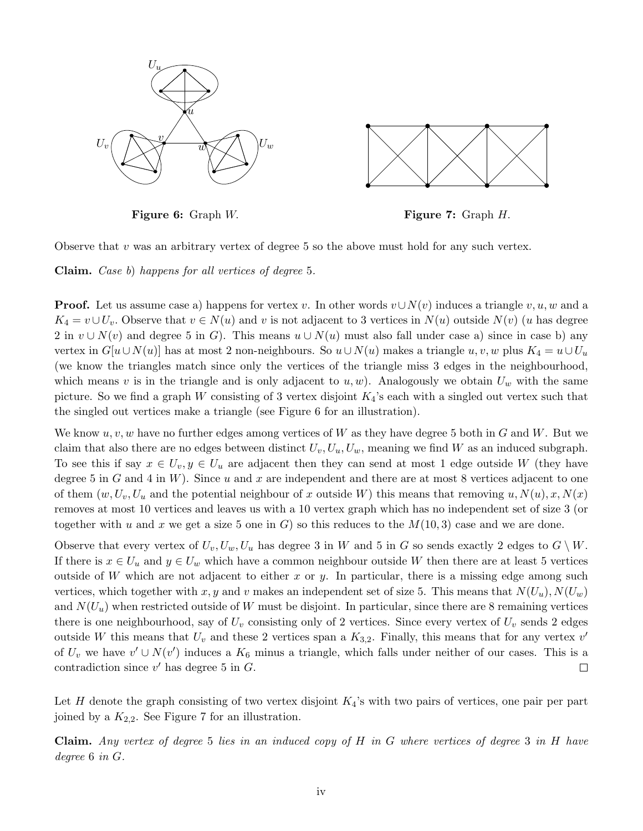<span id="page-29-0"></span>

Figure 6: Graph W. Figure 7: Graph H.

Observe that  $v$  was an arbitrary vertex of degree 5 so the above must hold for any such vertex.

Claim. Case b) happens for all vertices of degree 5.

**Proof.** Let us assume case a) happens for vertex v. In other words  $v \cup N(v)$  induces a triangle v, u, w and a  $K_4 = v \cup U_v$ . Observe that  $v \in N(u)$  and v is not adjacent to 3 vertices in  $N(u)$  outside  $N(v)$  (u has degree 2 in  $v \cup N(v)$  and degree 5 in G). This means  $u \cup N(u)$  must also fall under case a) since in case b) any vertex in  $G[u \cup N(u)]$  has at most 2 non-neighbours. So  $u \cup N(u)$  makes a triangle  $u, v, w$  plus  $K_4 = u \cup U_u$ (we know the triangles match since only the vertices of the triangle miss 3 edges in the neighbourhood, which means v is in the triangle and is only adjacent to  $u, w$ ). Analogously we obtain  $U_w$  with the same picture. So we find a graph W consisting of 3 vertex disjoint  $K_4$ 's each with a singled out vertex such that the singled out vertices make a triangle (see Figure [6](#page-0-0) for an illustration).

We know  $u, v, w$  have no further edges among vertices of W as they have degree 5 both in G and W. But we claim that also there are no edges between distinct  $U_v, U_u, U_w$ , meaning we find W as an induced subgraph. To see this if say  $x \in U_v, y \in U_u$  are adjacent then they can send at most 1 edge outside W (they have degree 5 in G and 4 in W). Since u and x are independent and there are at most 8 vertices adjacent to one of them  $(w, U_v, U_u$  and the potential neighbour of x outside W) this means that removing  $u, N(u), x, N(x)$ removes at most 10 vertices and leaves us with a 10 vertex graph which has no independent set of size 3 (or together with u and x we get a size 5 one in G) so this reduces to the  $M(10,3)$  case and we are done.

Observe that every vertex of  $U_v, U_w, U_u$  has degree 3 in W and 5 in G so sends exactly 2 edges to  $G \setminus W$ . If there is  $x \in U_u$  and  $y \in U_w$  which have a common neighbour outside W then there are at least 5 vertices outside of W which are not adjacent to either x or y. In particular, there is a missing edge among such vertices, which together with x, y and v makes an independent set of size 5. This means that  $N(U_u)$ ,  $N(U_w)$ and  $N(U_u)$  when restricted outside of W must be disjoint. In particular, since there are 8 remaining vertices there is one neighbourhood, say of  $U_v$  consisting only of 2 vertices. Since every vertex of  $U_v$  sends 2 edges outside W this means that  $U_v$  and these 2 vertices span a  $K_{3,2}$ . Finally, this means that for any vertex  $v'$ of  $U_v$  we have  $v' \cup N(v')$  induces a  $K_6$  minus a triangle, which falls under neither of our cases. This is a contradiction since  $v'$  has degree 5 in  $G$ .  $\Box$ 

Let H denote the graph consisting of two vertex disjoint  $K_4$ 's with two pairs of vertices, one pair per part joined by a  $K_{2,2}$ . See Figure [7](#page-29-0) for an illustration.

Claim. Any vertex of degree 5 lies in an induced copy of  $H$  in  $G$  where vertices of degree 3 in  $H$  have degree 6 in G.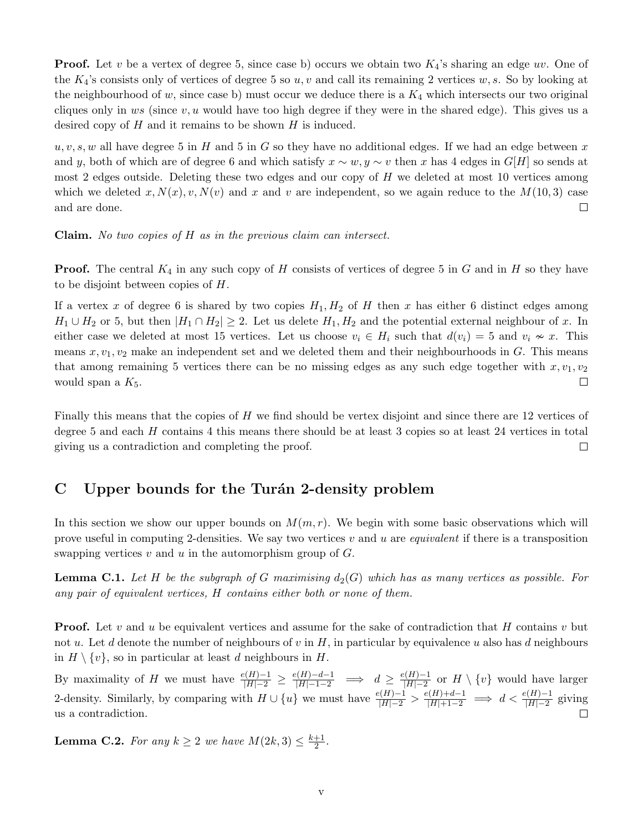**Proof.** Let v be a vertex of degree 5, since case b) occurs we obtain two  $K_4$ 's sharing an edge uv. One of the  $K_4$ 's consists only of vertices of degree 5 so  $u, v$  and call its remaining 2 vertices  $w, s$ . So by looking at the neighbourhood of w, since case b) must occur we deduce there is a  $K_4$  which intersects our two original cliques only in ws (since  $v, u$  would have too high degree if they were in the shared edge). This gives us a desired copy of  $H$  and it remains to be shown  $H$  is induced.

 $u, v, s, w$  all have degree 5 in H and 5 in G so they have no additional edges. If we had an edge between x and y, both of which are of degree 6 and which satisfy  $x \sim w, y \sim v$  then x has 4 edges in G[H] so sends at most 2 edges outside. Deleting these two edges and our copy of  $H$  we deleted at most 10 vertices among which we deleted  $x, N(x), v, N(v)$  and x and v are independent, so we again reduce to the  $M(10, 3)$  case and are done.  $\Box$ 

Claim. No two copies of H as in the previous claim can intersect.

**Proof.** The central  $K_4$  in any such copy of H consists of vertices of degree 5 in G and in H so they have to be disjoint between copies of H.

If a vertex x of degree 6 is shared by two copies  $H_1, H_2$  of H then x has either 6 distinct edges among  $H_1 \cup H_2$  or 5, but then  $|H_1 \cap H_2| \geq 2$ . Let us delete  $H_1, H_2$  and the potential external neighbour of x. In either case we deleted at most 15 vertices. Let us choose  $v_i \in H_i$  such that  $d(v_i) = 5$  and  $v_i \nsim x$ . This means  $x, v_1, v_2$  make an independent set and we deleted them and their neighbourhoods in  $G$ . This means that among remaining 5 vertices there can be no missing edges as any such edge together with  $x, v_1, v_2$ would span a  $K_5$ .  $\Box$ 

Finally this means that the copies of H we find should be vertex disjoint and since there are 12 vertices of degree 5 and each H contains 4 this means there should be at least 3 copies so at least 24 vertices in total giving us a contradiction and completing the proof.  $\Box$ 

# <span id="page-30-0"></span>C Upper bounds for the Turan 2-density problem

In this section we show our upper bounds on  $M(m, r)$ . We begin with some basic observations which will prove useful in computing 2-densities. We say two vertices  $v$  and  $u$  are *equivalent* if there is a transposition swapping vertices  $v$  and  $u$  in the automorphism group of  $G$ .

<span id="page-30-2"></span>**Lemma C.1.** Let H be the subgraph of G maximising  $d_2(G)$  which has as many vertices as possible. For any pair of equivalent vertices, H contains either both or none of them.

**Proof.** Let v and u be equivalent vertices and assume for the sake of contradiction that H contains v but not u. Let d denote the number of neighbours of v in H, in particular by equivalence u also has d neighbours in  $H \setminus \{v\}$ , so in particular at least d neighbours in H.

By maximality of H we must have  $\frac{e(H)-1}{|H|-2} \geq \frac{e(H)-d-1}{|H|-1-2} \implies d \geq \frac{e(H)-1}{|H|-2}$  $\frac{P(n-1)}{|H|-2}$  or  $H \setminus \{v\}$  would have larger 2-density. Similarly, by comparing with  $H \cup \{u\}$  we must have  $\frac{e(H)-1}{|H|-2} > \frac{e(H)+d-1}{|H|+1-2} \implies d < \frac{e(H)-1}{|H|-2}$  giving us a contradiction.  $\Box$ 

<span id="page-30-1"></span>**Lemma C.2.** For any  $k \geq 2$  we have  $M(2k, 3) \leq \frac{k+1}{2}$  $\frac{+1}{2}$ .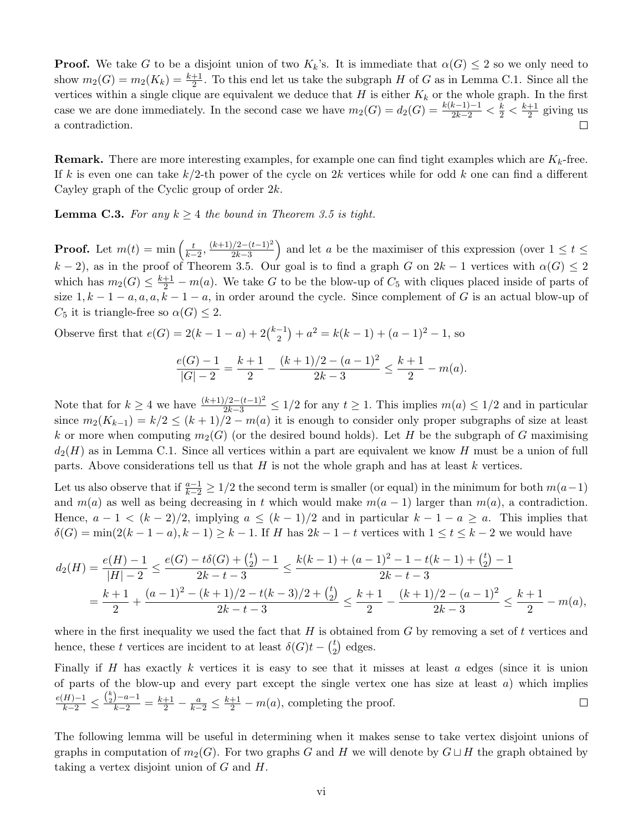**Proof.** We take G to be a disjoint union of two  $K_k$ 's. It is immediate that  $\alpha(G) \leq 2$  so we only need to show  $m_2(G) = m_2(K_k) = \frac{k+1}{2}$ . To this end let us take the subgraph H of G as in Lemma [C.1.](#page-30-2) Since all the vertices within a single clique are equivalent we deduce that H is either  $K_k$  or the whole graph. In the first case we are done immediately. In the second case we have  $m_2(G) = d_2(G) = \frac{k(k-1)-1}{2k-2} < \frac{k}{2} < \frac{k+1}{2}$  $\frac{+1}{2}$  giving us a contradiction.  $\Box$ 

**Remark.** There are more interesting examples, for example one can find tight examples which are  $K_k$ -free. If k is even one can take  $k/2$ -th power of the cycle on 2k vertices while for odd k one can find a different Cayley graph of the Cyclic group of order 2k.

<span id="page-31-0"></span>**Lemma C.3.** For any  $k \geq 4$  the bound in Theorem [3.5](#page-20-0) is tight.

**Proof.** Let  $m(t) = \min\left(\frac{t}{k-2}, \frac{(k+1)/2 - (t-1)^2}{2k-3}\right)$  $\frac{2k-2}{2k-3}$  and let a be the maximiser of this expression (over  $1 \le t \le$ k − 2), as in the proof of Theorem [3.5.](#page-20-0) Our goal is to find a graph G on  $2k-1$  vertices with  $\alpha(G) \leq 2$ which has  $m_2(G) \leq \frac{k+1}{2} - m(a)$ . We take G to be the blow-up of  $C_5$  with cliques placed inside of parts of size  $1, k - 1 - a, a, a, k - 1 - a$ , in order around the cycle. Since complement of G is an actual blow-up of  $C_5$  it is triangle-free so  $\alpha(G) \leq 2$ .

Observe first that  $e(G) = 2(k - 1 - a) + 2{k-1 \choose 2}$  $a<sup>-1</sup>$ ) +  $a<sup>2</sup> = k(k - 1) + (a - 1)<sup>2</sup> - 1$ , so

$$
\frac{e(G)-1}{|G|-2} = \frac{k+1}{2} - \frac{(k+1)/2 - (a-1)^2}{2k-3} \le \frac{k+1}{2} - m(a).
$$

Note that for  $k \geq 4$  we have  $\frac{(k+1)/2-(t-1)^2}{2k-3} \leq 1/2$  for any  $t \geq 1$ . This implies  $m(a) \leq 1/2$  and in particular since  $m_2(K_{k-1}) = k/2 \le (k+1)/2 - m(a)$  it is enough to consider only proper subgraphs of size at least k or more when computing  $m_2(G)$  (or the desired bound holds). Let H be the subgraph of G maximising  $d_2(H)$  as in Lemma [C.1.](#page-30-2) Since all vertices within a part are equivalent we know H must be a union of full parts. Above considerations tell us that  $H$  is not the whole graph and has at least  $k$  vertices.

Let us also observe that if  $\frac{a-1}{k-2} \geq 1/2$  the second term is smaller (or equal) in the minimum for both  $m(a-1)$ and  $m(a)$  as well as being decreasing in t which would make  $m(a - 1)$  larger than  $m(a)$ , a contradiction. Hence,  $a - 1 < (k - 2)/2$ , implying  $a \le (k - 1)/2$  and in particular  $k - 1 - a \ge a$ . This implies that  $\delta(G) = \min(2(k-1-a), k-1) \geq k-1$ . If H has  $2k-1-t$  vertices with  $1 \leq t \leq k-2$  we would have

$$
\begin{aligned} d_2(H) &= \frac{e(H)-1}{|H|-2} \le \frac{e(G)-t\delta(G)+\binom{t}{2}-1}{2k-t-3} \le \frac{k(k-1)+(a-1)^2-1-t(k-1)+\binom{t}{2}-1}{2k-t-3} \\ &= \frac{k+1}{2}+\frac{(a-1)^2-(k+1)/2-t(k-3)/2+\binom{t}{2}}{2k-t-3} \le \frac{k+1}{2}-\frac{(k+1)/2-(a-1)^2}{2k-3} \le \frac{k+1}{2}-m(a), \end{aligned}
$$

where in the first inequality we used the fact that  $H$  is obtained from  $G$  by removing a set of t vertices and hence, these t vertices are incident to at least  $\delta(G)t - \binom{t}{2}$  $_{2}^{t}$ ) edges.

Finally if H has exactly k vertices it is easy to see that it misses at least  $a$  edges (since it is union of parts of the blow-up and every part except the single vertex one has size at least  $a$ ) which implies  $\frac{e(H)-1}{k-2} \leq \frac{\binom{k}{2}-a-1}{k-2} = \frac{k+1}{2} - \frac{a}{k-2} \leq \frac{k+1}{2} - m(a)$ , completing the proof.  $\Box$ 

The following lemma will be useful in determining when it makes sense to take vertex disjoint unions of graphs in computation of  $m_2(G)$ . For two graphs G and H we will denote by  $G \sqcup H$  the graph obtained by taking a vertex disjoint union of  $G$  and  $H$ .